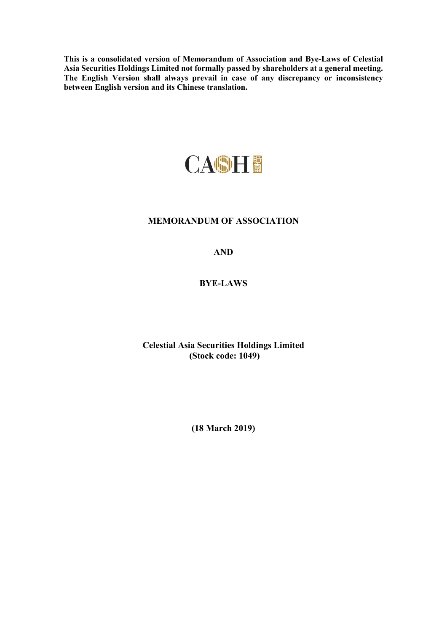**This is a consolidated version of Memorandum of Association and Bye-Laws of Celestial Asia Securities Holdings Limited not formally passed by shareholders at a general meeting. The English Version shall always prevail in case of any discrepancy or inconsistency between English version and its Chinese translation.** 



# **MEMORANDUM OF ASSOCIATION**

# **AND**

# **BYE-LAWS**

## **Celestial Asia Securities Holdings Limited (Stock code: 1049)**

**(18 March 2019)**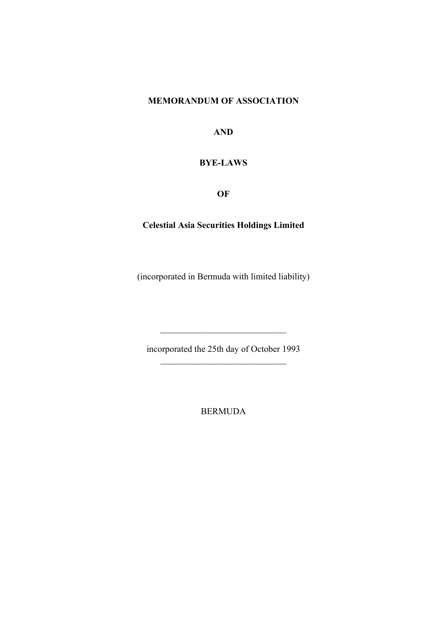# **MEMORANDUM OF ASSOCIATION**

**AND** 

# **BYE-LAWS**

**OF** 

# **Celestial Asia Securities Holdings Limited**

(incorporated in Bermuda with limited liability)

incorporated the 25th day of October 1993

BERMUDA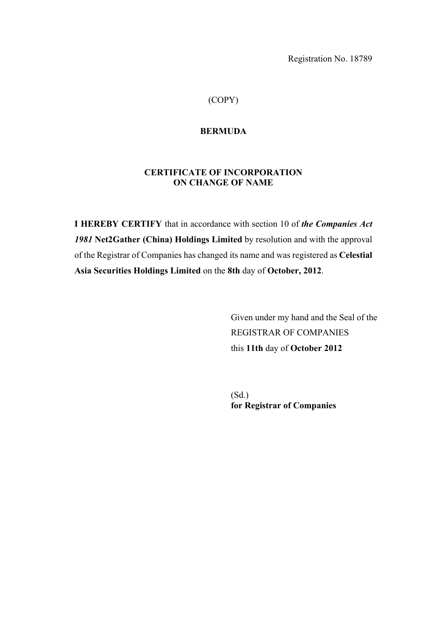Registration No. 18789

## (COPY)

### **BERMUDA**

# **CERTIFICATE OF INCORPORATION ON CHANGE OF NAME**

**I HEREBY CERTIFY** that in accordance with section 10 of *the Companies Act 1981* **Net2Gather (China) Holdings Limited** by resolution and with the approval of the Registrar of Companies has changed its name and was registered as **Celestial Asia Securities Holdings Limited** on the **8th** day of **October, 2012**.

> Given under my hand and the Seal of the REGISTRAR OF COMPANIES this **11th** day of **October 2012**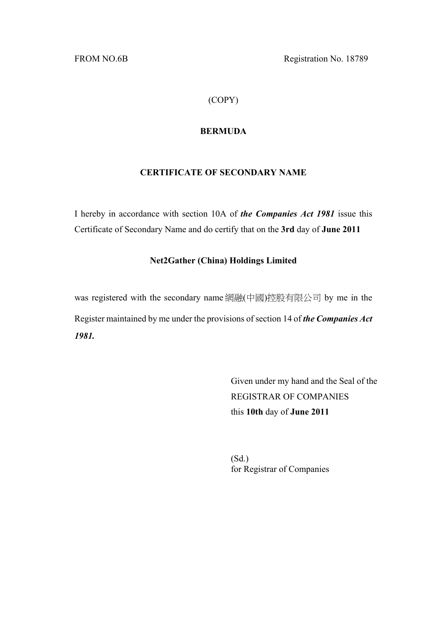FROM NO.6B Registration No. 18789

## (COPY)

### **BERMUDA**

# **CERTIFICATE OF SECONDARY NAME**

I hereby in accordance with section 10A of *the Companies Act 1981* issue this Certificate of Secondary Name and do certify that on the **3rd** day of **June 2011**

#### **Net2Gather (China) Holdings Limited**

was registered with the secondary name 網融(中國)控股有限公司 by me in the Register maintained by me under the provisions of section 14 of *the Companies Act 1981.* 

> Given under my hand and the Seal of the REGISTRAR OF COMPANIES this **10th** day of **June 2011**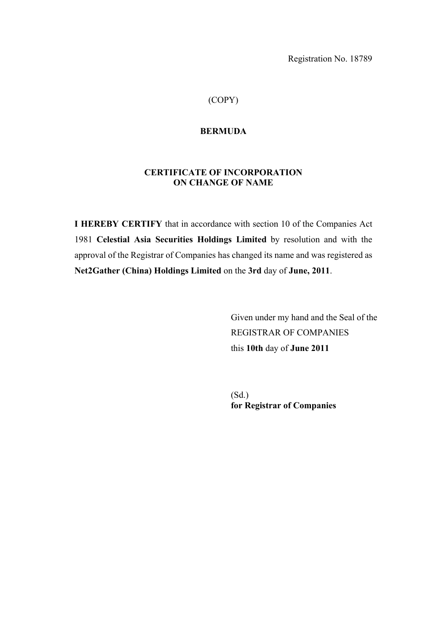Registration No. 18789

## (COPY)

#### **BERMUDA**

# **CERTIFICATE OF INCORPORATION ON CHANGE OF NAME**

**I HEREBY CERTIFY** that in accordance with section 10 of the Companies Act 1981 **Celestial Asia Securities Holdings Limited** by resolution and with the approval of the Registrar of Companies has changed its name and was registered as **Net2Gather (China) Holdings Limited** on the **3rd** day of **June, 2011**.

> Given under my hand and the Seal of the REGISTRAR OF COMPANIES this **10th** day of **June 2011**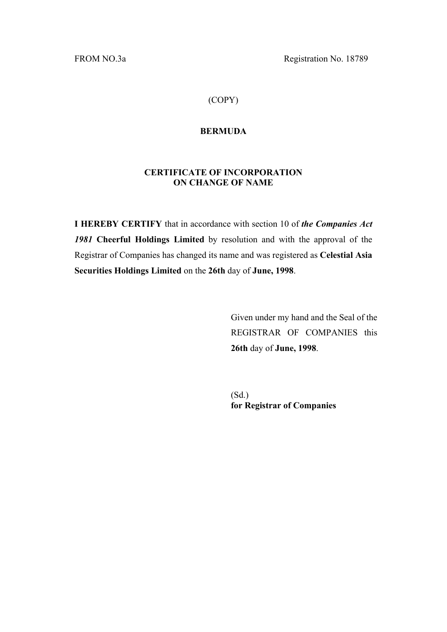FROM NO.3a Registration No. 18789

# (COPY)

### **BERMUDA**

## **CERTIFICATE OF INCORPORATION ON CHANGE OF NAME**

**I HEREBY CERTIFY** that in accordance with section 10 of *the Companies Act 1981* **Cheerful Holdings Limited** by resolution and with the approval of the Registrar of Companies has changed its name and was registered as **Celestial Asia Securities Holdings Limited** on the **26th** day of **June, 1998**.

> Given under my hand and the Seal of the REGISTRAR OF COMPANIES this **26th** day of **June, 1998**.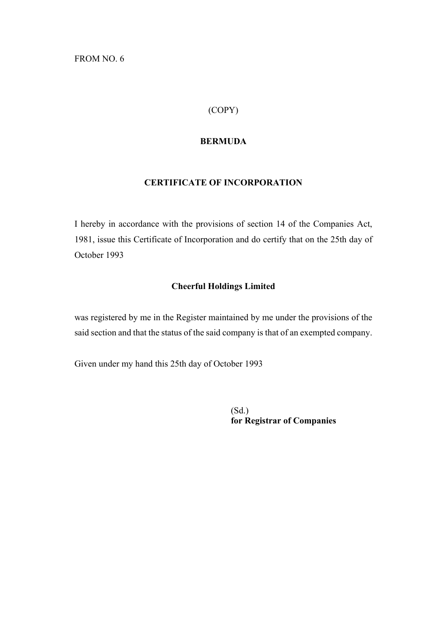FROM NO. 6

# (COPY)

### **BERMUDA**

# **CERTIFICATE OF INCORPORATION**

I hereby in accordance with the provisions of section 14 of the Companies Act, 1981, issue this Certificate of Incorporation and do certify that on the 25th day of October 1993

### **Cheerful Holdings Limited**

was registered by me in the Register maintained by me under the provisions of the said section and that the status of the said company is that of an exempted company.

Given under my hand this 25th day of October 1993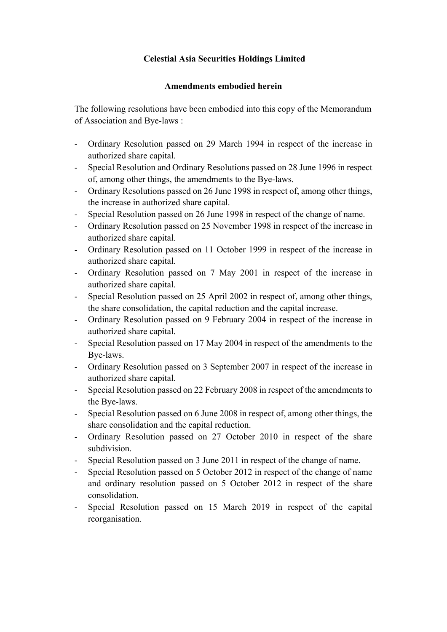# **Celestial Asia Securities Holdings Limited**

### **Amendments embodied herein**

The following resolutions have been embodied into this copy of the Memorandum of Association and Bye-laws :

- Ordinary Resolution passed on 29 March 1994 in respect of the increase in authorized share capital.
- Special Resolution and Ordinary Resolutions passed on 28 June 1996 in respect of, among other things, the amendments to the Bye-laws.
- Ordinary Resolutions passed on 26 June 1998 in respect of, among other things, the increase in authorized share capital.
- Special Resolution passed on 26 June 1998 in respect of the change of name.
- Ordinary Resolution passed on 25 November 1998 in respect of the increase in authorized share capital.
- Ordinary Resolution passed on 11 October 1999 in respect of the increase in authorized share capital.
- Ordinary Resolution passed on 7 May 2001 in respect of the increase in authorized share capital.
- Special Resolution passed on 25 April 2002 in respect of, among other things, the share consolidation, the capital reduction and the capital increase.
- Ordinary Resolution passed on 9 February 2004 in respect of the increase in authorized share capital.
- Special Resolution passed on 17 May 2004 in respect of the amendments to the Bye-laws.
- Ordinary Resolution passed on 3 September 2007 in respect of the increase in authorized share capital.
- Special Resolution passed on 22 February 2008 in respect of the amendments to the Bye-laws.
- Special Resolution passed on 6 June 2008 in respect of, among other things, the share consolidation and the capital reduction.
- Ordinary Resolution passed on 27 October 2010 in respect of the share subdivision.
- Special Resolution passed on 3 June 2011 in respect of the change of name.
- Special Resolution passed on 5 October 2012 in respect of the change of name and ordinary resolution passed on 5 October 2012 in respect of the share consolidation.
- Special Resolution passed on 15 March 2019 in respect of the capital reorganisation.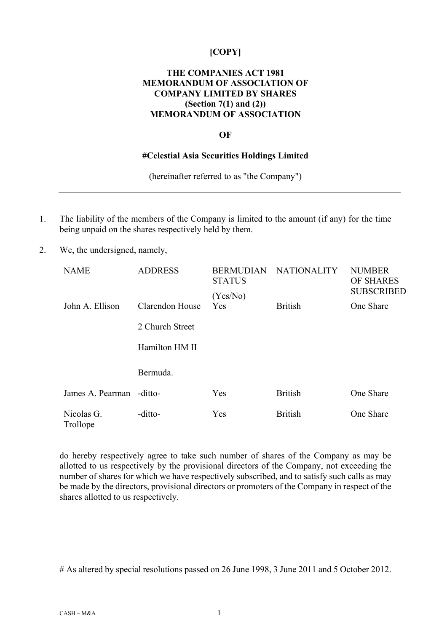### **[COPY]**

### **THE COMPANIES ACT 1981 MEMORANDUM OF ASSOCIATION OF COMPANY LIMITED BY SHARES (Section 7(1) and (2)) MEMORANDUM OF ASSOCIATION**

#### **OF**

#### **#Celestial Asia Securities Holdings Limited**

(hereinafter referred to as "the Company")

- 1. The liability of the members of the Company is limited to the amount (if any) for the time being unpaid on the shares respectively held by them.
- 2. We, the undersigned, namely,

| <b>NAME</b>            | <b>ADDRESS</b>  | <b>BERMUDIAN</b><br><b>STATUS</b> | <b>NATIONALITY</b> | <b>NUMBER</b><br><b>OF SHARES</b><br><b>SUBSCRIBED</b> |
|------------------------|-----------------|-----------------------------------|--------------------|--------------------------------------------------------|
|                        |                 | (Yes/No)                          |                    |                                                        |
| John A. Ellison        | Clarendon House | <b>Yes</b>                        | <b>British</b>     | One Share                                              |
|                        | 2 Church Street |                                   |                    |                                                        |
|                        | Hamilton HM II  |                                   |                    |                                                        |
|                        | Bermuda.        |                                   |                    |                                                        |
| James A. Pearman       | -ditto-         | Yes                               | <b>British</b>     | One Share                                              |
| Nicolas G.<br>Trollope | -ditto-         | Yes                               | <b>British</b>     | One Share                                              |

do hereby respectively agree to take such number of shares of the Company as may be allotted to us respectively by the provisional directors of the Company, not exceeding the number of shares for which we have respectively subscribed, and to satisfy such calls as may be made by the directors, provisional directors or promoters of the Company in respect of the shares allotted to us respectively.

# As altered by special resolutions passed on 26 June 1998, 3 June 2011 and 5 October 2012.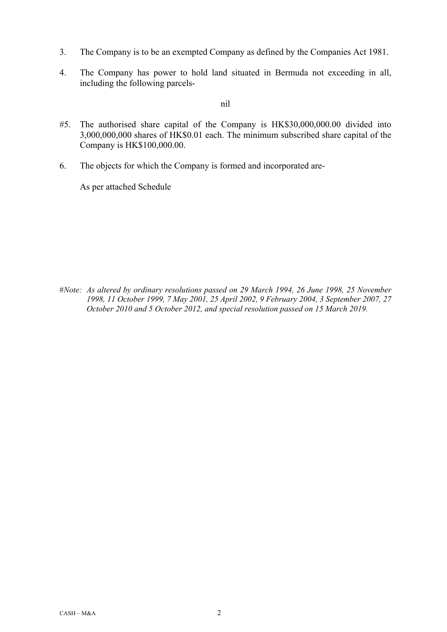- 3. The Company is to be an exempted Company as defined by the Companies Act 1981.
- 4. The Company has power to hold land situated in Bermuda not exceeding in all, including the following parcels-

## nil

- #5. The authorised share capital of the Company is HK\$30,000,000.00 divided into 3,000,000,000 shares of HK\$0.01 each. The minimum subscribed share capital of the Company is HK\$100,000.00.
- 6. The objects for which the Company is formed and incorporated are-

As per attached Schedule

#*Note: As altered by ordinary resolutions passed on 29 March 1994, 26 June 1998, 25 November 1998, 11 October 1999, 7 May 2001, 25 April 2002, 9 February 2004, 3 September 2007, 27 October 2010 and 5 October 2012, and special resolution passed on 15 March 2019.*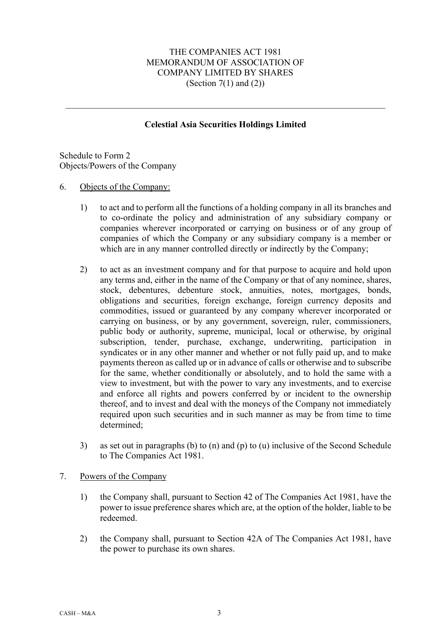## THE COMPANIES ACT 1981 MEMORANDUM OF ASSOCIATION OF COMPANY LIMITED BY SHARES (Section  $7(1)$  and  $(2)$ )

### **Celestial Asia Securities Holdings Limited**

Schedule to Form 2 Objects/Powers of the Company

### 6. Objects of the Company:

- 1) to act and to perform all the functions of a holding company in all its branches and to co-ordinate the policy and administration of any subsidiary company or companies wherever incorporated or carrying on business or of any group of companies of which the Company or any subsidiary company is a member or which are in any manner controlled directly or indirectly by the Company;
- 2) to act as an investment company and for that purpose to acquire and hold upon any terms and, either in the name of the Company or that of any nominee, shares, stock, debentures, debenture stock, annuities, notes, mortgages, bonds, obligations and securities, foreign exchange, foreign currency deposits and commodities, issued or guaranteed by any company wherever incorporated or carrying on business, or by any government, sovereign, ruler, commissioners, public body or authority, supreme, municipal, local or otherwise, by original subscription, tender, purchase, exchange, underwriting, participation in syndicates or in any other manner and whether or not fully paid up, and to make payments thereon as called up or in advance of calls or otherwise and to subscribe for the same, whether conditionally or absolutely, and to hold the same with a view to investment, but with the power to vary any investments, and to exercise and enforce all rights and powers conferred by or incident to the ownership thereof, and to invest and deal with the moneys of the Company not immediately required upon such securities and in such manner as may be from time to time determined;
- 3) as set out in paragraphs (b) to (n) and (p) to (u) inclusive of the Second Schedule to The Companies Act 1981.

### 7. Powers of the Company

- 1) the Company shall, pursuant to Section 42 of The Companies Act 1981, have the power to issue preference shares which are, at the option of the holder, liable to be redeemed.
- 2) the Company shall, pursuant to Section 42A of The Companies Act 1981, have the power to purchase its own shares.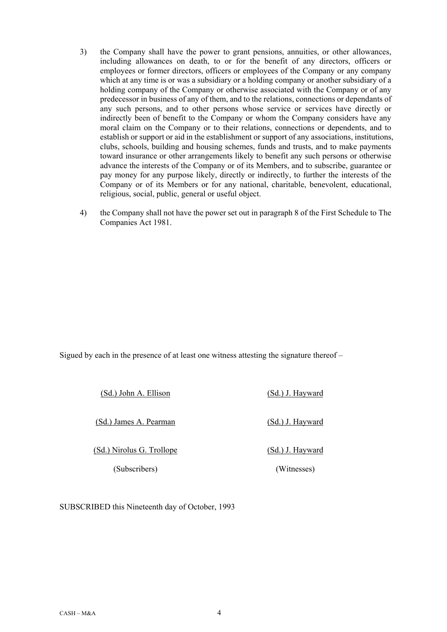- 3) the Company shall have the power to grant pensions, annuities, or other allowances, including allowances on death, to or for the benefit of any directors, officers or employees or former directors, officers or employees of the Company or any company which at any time is or was a subsidiary or a holding company or another subsidiary of a holding company of the Company or otherwise associated with the Company or of any predecessor in business of any of them, and to the relations, connections or dependants of any such persons, and to other persons whose service or services have directly or indirectly been of benefit to the Company or whom the Company considers have any moral claim on the Company or to their relations, connections or dependents, and to establish or support or aid in the establishment or support of any associations, institutions, clubs, schools, building and housing schemes, funds and trusts, and to make payments toward insurance or other arrangements likely to benefit any such persons or otherwise advance the interests of the Company or of its Members, and to subscribe, guarantee or pay money for any purpose likely, directly or indirectly, to further the interests of the Company or of its Members or for any national, charitable, benevolent, educational, religious, social, public, general or useful object.
- 4) the Company shall not have the power set out in paragraph 8 of the First Schedule to The Companies Act 1981.

Sigued by each in the presence of at least one witness attesting the signature thereof –

(Sd.) John A. Ellison (Sd.) J. Hayward

(Sd.) James A. Pearman (Sd.) J. Hayward

(Sd.) Nirolus G. Trollope

(Subscribers)

(Sd.) J. Hayward (Witnesses)

SUBSCRIBED this Nineteenth day of October, 1993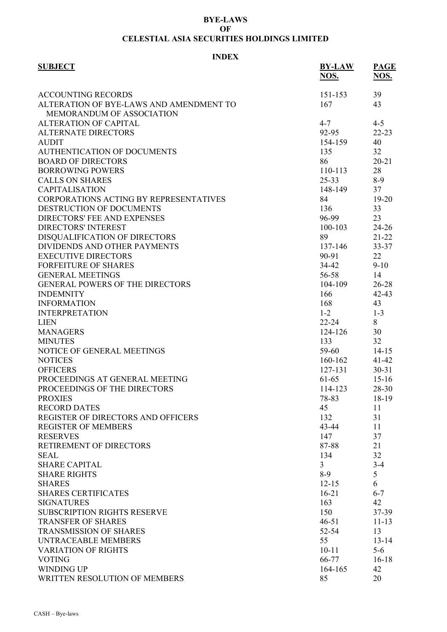#### **BYE-LAWS OF CELESTIAL ASIA SECURITIES HOLDINGS LIMITED**

# **INDEX**

| <b>SUBJECT</b>                          | <b>BY-LAW</b><br>NOS. | <b>PAGE</b><br>NOS. |
|-----------------------------------------|-----------------------|---------------------|
| <b>ACCOUNTING RECORDS</b>               | 151-153               | 39                  |
| ALTERATION OF BYE-LAWS AND AMENDMENT TO | 167                   | 43                  |
| MEMORANDUM OF ASSOCIATION               |                       |                     |
| <b>ALTERATION OF CAPITAL</b>            | $4 - 7$               | $4 - 5$             |
| <b>ALTERNATE DIRECTORS</b>              | 92-95                 | $22 - 23$           |
| <b>AUDIT</b>                            | 154-159               | 40                  |
| <b>AUTHENTICATION OF DOCUMENTS</b>      | 135                   | 32                  |
| <b>BOARD OF DIRECTORS</b>               | 86                    | $20 - 21$           |
| <b>BORROWING POWERS</b>                 | 110-113               | 28                  |
| <b>CALLS ON SHARES</b>                  | $25 - 33$             | $8-9$               |
| <b>CAPITALISATION</b>                   | 148-149               | 37                  |
| CORPORATIONS ACTING BY REPRESENTATIVES  | 84                    | $19 - 20$           |
| DESTRUCTION OF DOCUMENTS                | 136                   | 33                  |
| <b>DIRECTORS' FEE AND EXPENSES</b>      | 96-99                 | 23                  |
| <b>DIRECTORS' INTEREST</b>              | 100-103               | $24 - 26$           |
| DISQUALIFICATION OF DIRECTORS           | 89                    | $21 - 22$           |
| DIVIDENDS AND OTHER PAYMENTS            | 137-146               | 33-37               |
| <b>EXECUTIVE DIRECTORS</b>              | 90-91                 | 22                  |
| <b>FORFEITURE OF SHARES</b>             | 34-42                 | $9-10$              |
| <b>GENERAL MEETINGS</b>                 | 56-58                 | 14                  |
| <b>GENERAL POWERS OF THE DIRECTORS</b>  | 104-109               | 26-28               |
| <b>INDEMNITY</b>                        | 166                   | $42 - 43$           |
| <b>INFORMATION</b>                      | 168                   | 43                  |
| <b>INTERPRETATION</b>                   | $1 - 2$               | $1 - 3$             |
| <b>LIEN</b>                             | $22 - 24$             | 8                   |
| <b>MANAGERS</b>                         | 124-126               | 30                  |
| <b>MINUTES</b>                          | 133                   | 32                  |
| NOTICE OF GENERAL MEETINGS              | 59-60                 | $14 - 15$           |
| <b>NOTICES</b>                          | 160-162               | $41 - 42$           |
| <b>OFFICERS</b>                         | 127-131               | $30 - 31$           |
| PROCEEDINGS AT GENERAL MEETING          | 61-65                 | $15 - 16$           |
| PROCEEDINGS OF THE DIRECTORS            | 114-123               | 28-30               |
| <b>PROXIES</b>                          | 78-83                 | $18-19$             |
| <b>RECORD DATES</b>                     | 45                    | 11                  |
| REGISTER OF DIRECTORS AND OFFICERS      | 132                   | 31                  |
| <b>REGISTER OF MEMBERS</b>              | 43-44                 | 11                  |
| <b>RESERVES</b>                         | 147                   | 37                  |
| RETIREMENT OF DIRECTORS                 | 87-88                 | 21                  |
| <b>SEAL</b>                             | 134                   | 32                  |
| <b>SHARE CAPITAL</b>                    | 3                     | $3 - 4$             |
| <b>SHARE RIGHTS</b>                     | $8-9$                 | 5                   |
| <b>SHARES</b>                           | $12 - 15$             | 6                   |
| <b>SHARES CERTIFICATES</b>              | $16-21$               | $6 - 7$             |
| <b>SIGNATURES</b>                       | 163                   | 42                  |
| SUBSCRIPTION RIGHTS RESERVE             | 150                   | 37-39               |
| <b>TRANSFER OF SHARES</b>               | $46 - 51$             | $11 - 13$           |
| <b>TRANSMISSION OF SHARES</b>           | 52-54                 | 13                  |
| <b>UNTRACEABLE MEMBERS</b>              | 55                    | $13 - 14$           |
| <b>VARIATION OF RIGHTS</b>              | $10 - 11$             | $5-6$               |
|                                         | 66-77                 |                     |
| <b>VOTING</b>                           |                       | $16-18$             |
| <b>WINDING UP</b>                       | 164-165               | 42                  |
| WRITTEN RESOLUTION OF MEMBERS           | 85                    | 20                  |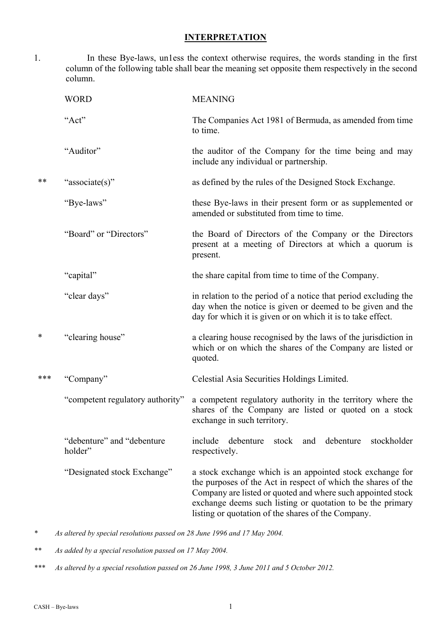### **INTERPRETATION**

1. In these Bye-laws, un1ess the context otherwise requires, the words standing in the first column of the following table shall bear the meaning set opposite them respectively in the second column.

|        | <b>WORD</b>                            | <b>MEANING</b>                                                                                                                                                                                                                                                                                                |
|--------|----------------------------------------|---------------------------------------------------------------------------------------------------------------------------------------------------------------------------------------------------------------------------------------------------------------------------------------------------------------|
|        | "Act"                                  | The Companies Act 1981 of Bermuda, as amended from time<br>to time.                                                                                                                                                                                                                                           |
|        | "Auditor"                              | the auditor of the Company for the time being and may<br>include any individual or partnership.                                                                                                                                                                                                               |
| **     | "associate(s)"                         | as defined by the rules of the Designed Stock Exchange.                                                                                                                                                                                                                                                       |
|        | "Bye-laws"                             | these Bye-laws in their present form or as supplemented or<br>amended or substituted from time to time.                                                                                                                                                                                                       |
|        | "Board" or "Directors"                 | the Board of Directors of the Company or the Directors<br>present at a meeting of Directors at which a quorum is<br>present.                                                                                                                                                                                  |
|        | "capital"                              | the share capital from time to time of the Company.                                                                                                                                                                                                                                                           |
|        | "clear days"                           | in relation to the period of a notice that period excluding the<br>day when the notice is given or deemed to be given and the<br>day for which it is given or on which it is to take effect.                                                                                                                  |
| $\ast$ | "clearing house"                       | a clearing house recognised by the laws of the jurisdiction in<br>which or on which the shares of the Company are listed or<br>quoted.                                                                                                                                                                        |
| ***    | "Company"                              | Celestial Asia Securities Holdings Limited.                                                                                                                                                                                                                                                                   |
|        | "competent regulatory authority"       | a competent regulatory authority in the territory where the<br>shares of the Company are listed or quoted on a stock<br>exchange in such territory.                                                                                                                                                           |
|        | "debenture" and "debenture"<br>holder" | stockholder<br>include<br>debenture<br>stock<br>and debenture<br>respectively.                                                                                                                                                                                                                                |
|        | "Designated stock Exchange"            | a stock exchange which is an appointed stock exchange for<br>the purposes of the Act in respect of which the shares of the<br>Company are listed or quoted and where such appointed stock<br>exchange deems such listing or quotation to be the primary<br>listing or quotation of the shares of the Company. |

*\* As altered by special resolutions passed on 28 June 1996 and 17 May 2004.* 

*\*\* As added by a special resolution passed on 17 May 2004.* 

*\*\*\* As altered by a special resolution passed on 26 June 1998, 3 June 2011 and 5 October 2012.*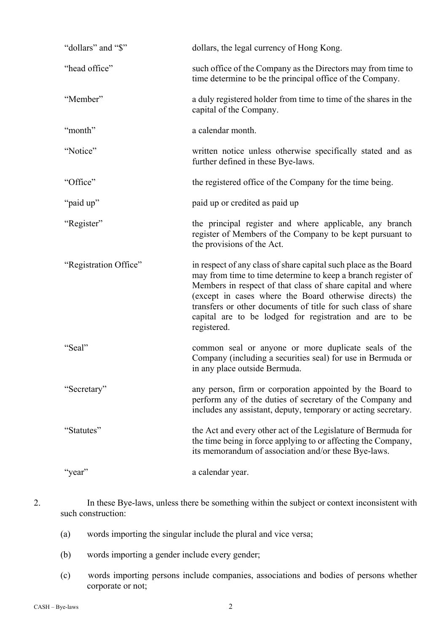| "dollars" and "\$"    | dollars, the legal currency of Hong Kong.                                                                                                                                                                                                                                                                                                                                                             |
|-----------------------|-------------------------------------------------------------------------------------------------------------------------------------------------------------------------------------------------------------------------------------------------------------------------------------------------------------------------------------------------------------------------------------------------------|
| "head office"         | such office of the Company as the Directors may from time to<br>time determine to be the principal office of the Company.                                                                                                                                                                                                                                                                             |
| "Member"              | a duly registered holder from time to time of the shares in the<br>capital of the Company.                                                                                                                                                                                                                                                                                                            |
| "month"               | a calendar month.                                                                                                                                                                                                                                                                                                                                                                                     |
| "Notice"              | written notice unless otherwise specifically stated and as<br>further defined in these Bye-laws.                                                                                                                                                                                                                                                                                                      |
| "Office"              | the registered office of the Company for the time being.                                                                                                                                                                                                                                                                                                                                              |
| "paid up"             | paid up or credited as paid up                                                                                                                                                                                                                                                                                                                                                                        |
| "Register"            | the principal register and where applicable, any branch<br>register of Members of the Company to be kept pursuant to<br>the provisions of the Act.                                                                                                                                                                                                                                                    |
|                       |                                                                                                                                                                                                                                                                                                                                                                                                       |
| "Registration Office" | in respect of any class of share capital such place as the Board<br>may from time to time determine to keep a branch register of<br>Members in respect of that class of share capital and where<br>(except in cases where the Board otherwise directs) the<br>transfers or other documents of title for such class of share<br>capital are to be lodged for registration and are to be<br>registered. |
| "Seal"                | common seal or anyone or more duplicate seals of the<br>Company (including a securities seal) for use in Bermuda or<br>in any place outside Bermuda.                                                                                                                                                                                                                                                  |
| "Secretary"           | any person, firm or corporation appointed by the Board to<br>perform any of the duties of secretary of the Company and<br>includes any assistant, deputy, temporary or acting secretary.                                                                                                                                                                                                              |
| "Statutes"            | the Act and every other act of the Legislature of Bermuda for<br>the time being in force applying to or affecting the Company,<br>its memorandum of association and/or these Bye-laws.                                                                                                                                                                                                                |

- 2. In these Bye-laws, unless there be something within the subject or context inconsistent with such construction:
	- (a) words importing the singular include the plural and vice versa;
	- (b) words importing a gender include every gender;
	- (c) words importing persons include companies, associations and bodies of persons whether corporate or not;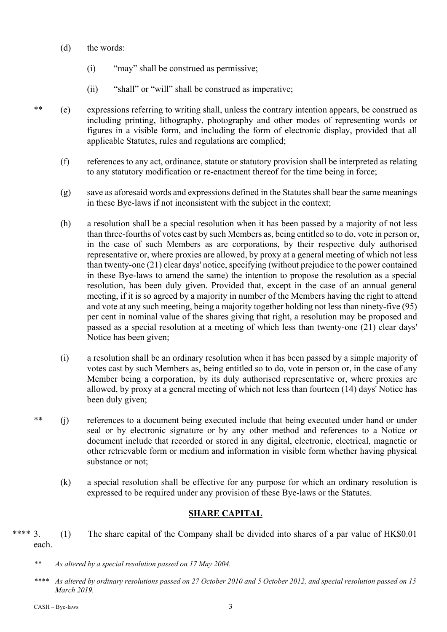- (d) the words:
	- (i) "may" shall be construed as permissive;
	- (ii) "shall" or "will" shall be construed as imperative;
- \*\* (e) expressions referring to writing shall, unless the contrary intention appears, be construed as including printing, lithography, photography and other modes of representing words or figures in a visible form, and including the form of electronic display, provided that all applicable Statutes, rules and regulations are complied;
	- (f) references to any act, ordinance, statute or statutory provision shall be interpreted as relating to any statutory modification or re-enactment thereof for the time being in force;
	- (g) save as aforesaid words and expressions defined in the Statutes shall bear the same meanings in these Bye-laws if not inconsistent with the subject in the context;
	- (h) a resolution shall be a special resolution when it has been passed by a majority of not less than three-fourths of votes cast by such Members as, being entitled so to do, vote in person or, in the case of such Members as are corporations, by their respective duly authorised representative or, where proxies are allowed, by proxy at a general meeting of which not less than twenty-one (21) clear days' notice, specifying (without prejudice to the power contained in these Bye-laws to amend the same) the intention to propose the resolution as a special resolution, has been duly given. Provided that, except in the case of an annual general meeting, if it is so agreed by a majority in number of the Members having the right to attend and vote at any such meeting, being a majority together holding not less than ninety-five (95) per cent in nominal value of the shares giving that right, a resolution may be proposed and passed as a special resolution at a meeting of which less than twenty-one (21) clear days' Notice has been given;
	- (i) a resolution shall be an ordinary resolution when it has been passed by a simple majority of votes cast by such Members as, being entitled so to do, vote in person or, in the case of any Member being a corporation, by its duly authorised representative or, where proxies are allowed, by proxy at a general meeting of which not less than fourteen (14) days' Notice has been duly given;
- \*\* (j) references to a document being executed include that being executed under hand or under seal or by electronic signature or by any other method and references to a Notice or document include that recorded or stored in any digital, electronic, electrical, magnetic or other retrievable form or medium and information in visible form whether having physical substance or not;
	- (k) a special resolution shall be effective for any purpose for which an ordinary resolution is expressed to be required under any provision of these Bye-laws or the Statutes.

# **SHARE CAPITAL**

\*\*\*\* 3. (1) The share capital of the Company shall be divided into shares of a par value of HK\$0.01 each.

*\*\*\*\* As altered by ordinary resolutions passed on 27 October 2010 and 5 October 2012, and special resolution passed on 15 March 2019.* 

*<sup>\*\*</sup> As altered by a special resolution passed on 17 May 2004.*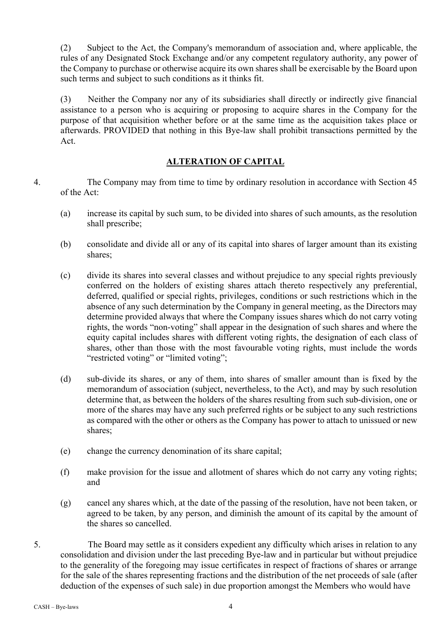(2) Subject to the Act, the Company's memorandum of association and, where applicable, the rules of any Designated Stock Exchange and/or any competent regulatory authority, any power of the Company to purchase or otherwise acquire its own shares shall be exercisable by the Board upon such terms and subject to such conditions as it thinks fit.

(3) Neither the Company nor any of its subsidiaries shall directly or indirectly give financial assistance to a person who is acquiring or proposing to acquire shares in the Company for the purpose of that acquisition whether before or at the same time as the acquisition takes place or afterwards. PROVIDED that nothing in this Bye-law shall prohibit transactions permitted by the Act.

# **ALTERATION OF CAPITAL**

- 4. The Company may from time to time by ordinary resolution in accordance with Section 45 of the Act:
	- (a) increase its capital by such sum, to be divided into shares of such amounts, as the resolution shall prescribe;
	- (b) consolidate and divide all or any of its capital into shares of larger amount than its existing shares;
	- (c) divide its shares into several classes and without prejudice to any special rights previously conferred on the holders of existing shares attach thereto respectively any preferential, deferred, qualified or special rights, privileges, conditions or such restrictions which in the absence of any such determination by the Company in general meeting, as the Directors may determine provided always that where the Company issues shares which do not carry voting rights, the words "non-voting" shall appear in the designation of such shares and where the equity capital includes shares with different voting rights, the designation of each class of shares, other than those with the most favourable voting rights, must include the words "restricted voting" or "limited voting";
	- (d) sub-divide its shares, or any of them, into shares of smaller amount than is fixed by the memorandum of association (subject, nevertheless, to the Act), and may by such resolution determine that, as between the holders of the shares resulting from such sub-division, one or more of the shares may have any such preferred rights or be subject to any such restrictions as compared with the other or others as the Company has power to attach to unissued or new shares;
	- (e) change the currency denomination of its share capital;
	- (f) make provision for the issue and allotment of shares which do not carry any voting rights; and
	- (g) cancel any shares which, at the date of the passing of the resolution, have not been taken, or agreed to be taken, by any person, and diminish the amount of its capital by the amount of the shares so cancelled.
- 5. The Board may settle as it considers expedient any difficulty which arises in relation to any consolidation and division under the last preceding Bye-law and in particular but without prejudice to the generality of the foregoing may issue certificates in respect of fractions of shares or arrange for the sale of the shares representing fractions and the distribution of the net proceeds of sale (after deduction of the expenses of such sale) in due proportion amongst the Members who would have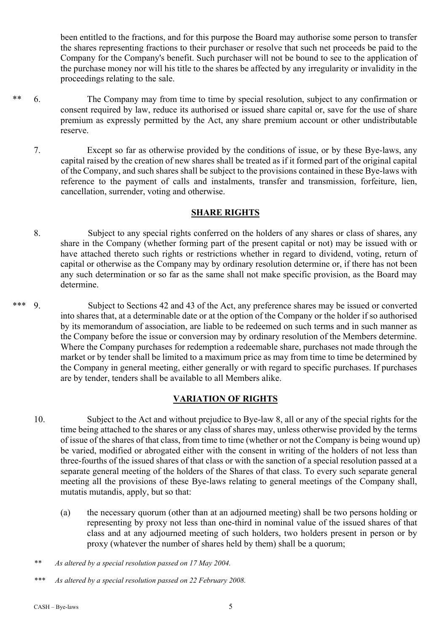been entitled to the fractions, and for this purpose the Board may authorise some person to transfer the shares representing fractions to their purchaser or resolve that such net proceeds be paid to the Company for the Company's benefit. Such purchaser will not be bound to see to the application of the purchase money nor will his title to the shares be affected by any irregularity or invalidity in the proceedings relating to the sale.

- \*\* 6. The Company may from time to time by special resolution, subject to any confirmation or consent required by law, reduce its authorised or issued share capital or, save for the use of share premium as expressly permitted by the Act, any share premium account or other undistributable reserve.
	- 7. Except so far as otherwise provided by the conditions of issue, or by these Bye-laws, any capital raised by the creation of new shares shall be treated as if it formed part of the original capital of the Company, and such shares shall be subject to the provisions contained in these Bye-laws with reference to the payment of calls and instalments, transfer and transmission, forfeiture, lien, cancellation, surrender, voting and otherwise.

### **SHARE RIGHTS**

- 8. Subject to any special rights conferred on the holders of any shares or class of shares, any share in the Company (whether forming part of the present capital or not) may be issued with or have attached thereto such rights or restrictions whether in regard to dividend, voting, return of capital or otherwise as the Company may by ordinary resolution determine or, if there has not been any such determination or so far as the same shall not make specific provision, as the Board may determine.
- \*\*\* 9. Subject to Sections 42 and 43 of the Act, any preference shares may be issued or converted into shares that, at a determinable date or at the option of the Company or the holder if so authorised by its memorandum of association, are liable to be redeemed on such terms and in such manner as the Company before the issue or conversion may by ordinary resolution of the Members determine. Where the Company purchases for redemption a redeemable share, purchases not made through the market or by tender shall be limited to a maximum price as may from time to time be determined by the Company in general meeting, either generally or with regard to specific purchases. If purchases are by tender, tenders shall be available to all Members alike.

# **VARIATION OF RIGHTS**

- 10. Subject to the Act and without prejudice to Bye-law 8, all or any of the special rights for the time being attached to the shares or any class of shares may, unless otherwise provided by the terms of issue of the shares of that class, from time to time (whether or not the Company is being wound up) be varied, modified or abrogated either with the consent in writing of the holders of not less than three-fourths of the issued shares of that class or with the sanction of a special resolution passed at a separate general meeting of the holders of the Shares of that class. To every such separate general meeting all the provisions of these Bye-laws relating to general meetings of the Company shall, mutatis mutandis, apply, but so that:
	- (a) the necessary quorum (other than at an adjourned meeting) shall be two persons holding or representing by proxy not less than one-third in nominal value of the issued shares of that class and at any adjourned meeting of such holders, two holders present in person or by proxy (whatever the number of shares held by them) shall be a quorum;

*<sup>\*\*</sup> As altered by a special resolution passed on 17 May 2004.* 

*<sup>\*\*\*</sup> As altered by a special resolution passed on 22 February 2008.*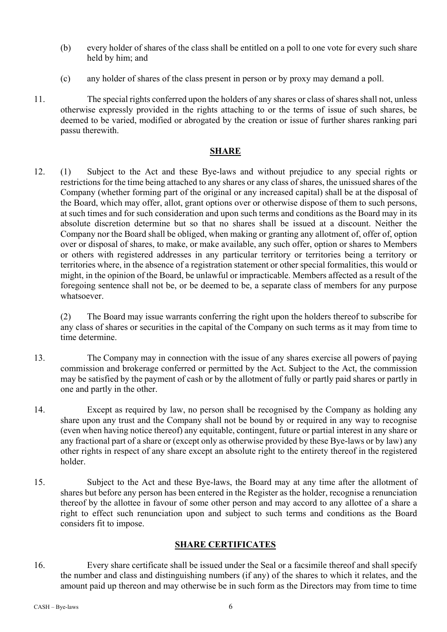- (b) every holder of shares of the class shall be entitled on a poll to one vote for every such share held by him; and
- (c) any holder of shares of the class present in person or by proxy may demand a poll.
- 11. The special rights conferred upon the holders of any shares or class of shares shall not, unless otherwise expressly provided in the rights attaching to or the terms of issue of such shares, be deemed to be varied, modified or abrogated by the creation or issue of further shares ranking pari passu therewith.

# **SHARE**

12. (1) Subject to the Act and these Bye-laws and without prejudice to any special rights or restrictions for the time being attached to any shares or any class of shares, the unissued shares of the Company (whether forming part of the original or any increased capital) shall be at the disposal of the Board, which may offer, allot, grant options over or otherwise dispose of them to such persons, at such times and for such consideration and upon such terms and conditions as the Board may in its absolute discretion determine but so that no shares shall be issued at a discount. Neither the Company nor the Board shall be obliged, when making or granting any allotment of, offer of, option over or disposal of shares, to make, or make available, any such offer, option or shares to Members or others with registered addresses in any particular territory or territories being a territory or territories where, in the absence of a registration statement or other special formalities, this would or might, in the opinion of the Board, be unlawful or impracticable. Members affected as a result of the foregoing sentence shall not be, or be deemed to be, a separate class of members for any purpose whatsoever.

(2) The Board may issue warrants conferring the right upon the holders thereof to subscribe for any class of shares or securities in the capital of the Company on such terms as it may from time to time determine.

- 13. The Company may in connection with the issue of any shares exercise all powers of paying commission and brokerage conferred or permitted by the Act. Subject to the Act, the commission may be satisfied by the payment of cash or by the allotment of fully or partly paid shares or partly in one and partly in the other.
- 14. Except as required by law, no person shall be recognised by the Company as holding any share upon any trust and the Company shall not be bound by or required in any way to recognise (even when having notice thereof) any equitable, contingent, future or partial interest in any share or any fractional part of a share or (except only as otherwise provided by these Bye-laws or by law) any other rights in respect of any share except an absolute right to the entirety thereof in the registered holder.
- 15. Subject to the Act and these Bye-laws, the Board may at any time after the allotment of shares but before any person has been entered in the Register as the holder, recognise a renunciation thereof by the allottee in favour of some other person and may accord to any allottee of a share a right to effect such renunciation upon and subject to such terms and conditions as the Board considers fit to impose.

# **SHARE CERTIFICATES**

16. Every share certificate shall be issued under the Seal or a facsimile thereof and shall specify the number and class and distinguishing numbers (if any) of the shares to which it relates, and the amount paid up thereon and may otherwise be in such form as the Directors may from time to time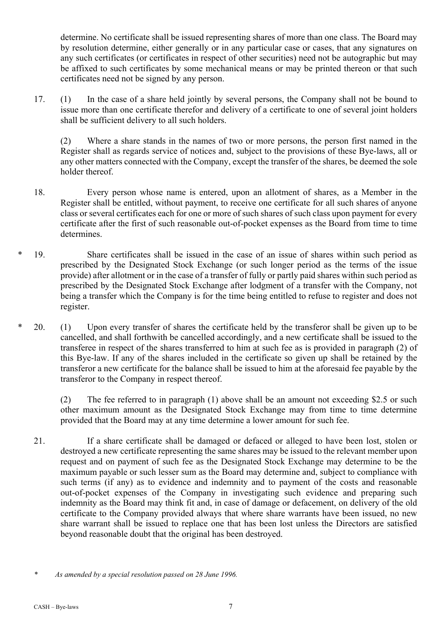determine. No certificate shall be issued representing shares of more than one class. The Board may by resolution determine, either generally or in any particular case or cases, that any signatures on any such certificates (or certificates in respect of other securities) need not be autographic but may be affixed to such certificates by some mechanical means or may be printed thereon or that such certificates need not be signed by any person.

17. (1) In the case of a share held jointly by several persons, the Company shall not be bound to issue more than one certificate therefor and delivery of a certificate to one of several joint holders shall be sufficient delivery to all such holders.

(2) Where a share stands in the names of two or more persons, the person first named in the Register shall as regards service of notices and, subject to the provisions of these Bye-laws, all or any other matters connected with the Company, except the transfer of the shares, be deemed the sole holder thereof.

- 18. Every person whose name is entered, upon an allotment of shares, as a Member in the Register shall be entitled, without payment, to receive one certificate for all such shares of anyone class or several certificates each for one or more of such shares of such class upon payment for every certificate after the first of such reasonable out-of-pocket expenses as the Board from time to time determines.
- 19. Share certificates shall be issued in the case of an issue of shares within such period as prescribed by the Designated Stock Exchange (or such longer period as the terms of the issue provide) after allotment or in the case of a transfer of fully or partly paid shares within such period as prescribed by the Designated Stock Exchange after lodgment of a transfer with the Company, not being a transfer which the Company is for the time being entitled to refuse to register and does not register.
- \* 20. (1) Upon every transfer of shares the certificate held by the transferor shall be given up to be cancelled, and shall forthwith be cancelled accordingly, and a new certificate shall be issued to the transferee in respect of the shares transferred to him at such fee as is provided in paragraph (2) of this Bye-law. If any of the shares included in the certificate so given up shall be retained by the transferor a new certificate for the balance shall be issued to him at the aforesaid fee payable by the transferor to the Company in respect thereof.

(2) The fee referred to in paragraph (1) above shall be an amount not exceeding \$2.5 or such other maximum amount as the Designated Stock Exchange may from time to time determine provided that the Board may at any time determine a lower amount for such fee.

21. If a share certificate shall be damaged or defaced or alleged to have been lost, stolen or destroyed a new certificate representing the same shares may be issued to the relevant member upon request and on payment of such fee as the Designated Stock Exchange may determine to be the maximum payable or such lesser sum as the Board may determine and, subject to compliance with such terms (if any) as to evidence and indemnity and to payment of the costs and reasonable out-of-pocket expenses of the Company in investigating such evidence and preparing such indemnity as the Board may think fit and, in case of damage or defacement, on delivery of the old certificate to the Company provided always that where share warrants have been issued, no new share warrant shall be issued to replace one that has been lost unless the Directors are satisfied beyond reasonable doubt that the original has been destroyed.

*<sup>\*</sup> As amended by a special resolution passed on 28 June 1996.*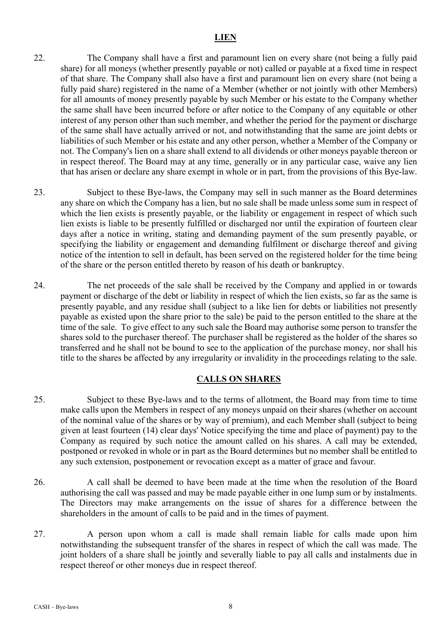#### **LIEN**

- 22. The Company shall have a first and paramount lien on every share (not being a fully paid share) for all moneys (whether presently payable or not) called or payable at a fixed time in respect of that share. The Company shall also have a first and paramount lien on every share (not being a fully paid share) registered in the name of a Member (whether or not jointly with other Members) for all amounts of money presently payable by such Member or his estate to the Company whether the same shall have been incurred before or after notice to the Company of any equitable or other interest of any person other than such member, and whether the period for the payment or discharge of the same shall have actually arrived or not, and notwithstanding that the same are joint debts or liabilities of such Member or his estate and any other person, whether a Member of the Company or not. The Company's lien on a share shall extend to all dividends or other moneys payable thereon or in respect thereof. The Board may at any time, generally or in any particular case, waive any lien that has arisen or declare any share exempt in whole or in part, from the provisions of this Bye-law.
- 23. Subject to these Bye-laws, the Company may sell in such manner as the Board determines any share on which the Company has a lien, but no sale shall be made unless some sum in respect of which the lien exists is presently payable, or the liability or engagement in respect of which such lien exists is liable to be presently fulfilled or discharged nor until the expiration of fourteen clear days after a notice in writing, stating and demanding payment of the sum presently payable, or specifying the liability or engagement and demanding fulfilment or discharge thereof and giving notice of the intention to sell in default, has been served on the registered holder for the time being of the share or the person entitled thereto by reason of his death or bankruptcy.
- 24. The net proceeds of the sale shall be received by the Company and applied in or towards payment or discharge of the debt or liability in respect of which the lien exists, so far as the same is presently payable, and any residue shall (subject to a like lien for debts or liabilities not presently payable as existed upon the share prior to the sale) be paid to the person entitled to the share at the time of the sale. To give effect to any such sale the Board may authorise some person to transfer the shares sold to the purchaser thereof. The purchaser shall be registered as the holder of the shares so transferred and he shall not be bound to see to the application of the purchase money, nor shall his title to the shares be affected by any irregularity or invalidity in the proceedings relating to the sale.

### **CALLS ON SHARES**

- 25. Subject to these Bye-laws and to the terms of allotment, the Board may from time to time make calls upon the Members in respect of any moneys unpaid on their shares (whether on account of the nominal value of the shares or by way of premium), and each Member shall (subject to being given at least fourteen (14) clear days' Notice specifying the time and place of payment) pay to the Company as required by such notice the amount called on his shares. A call may be extended, postponed or revoked in whole or in part as the Board determines but no member shall be entitled to any such extension, postponement or revocation except as a matter of grace and favour.
- 26. A call shall be deemed to have been made at the time when the resolution of the Board authorising the call was passed and may be made payable either in one lump sum or by instalments. The Directors may make arrangements on the issue of shares for a difference between the shareholders in the amount of calls to be paid and in the times of payment.
- 27. A person upon whom a call is made shall remain liable for calls made upon him notwithstanding the subsequent transfer of the shares in respect of which the call was made. The joint holders of a share shall be jointly and severally liable to pay all calls and instalments due in respect thereof or other moneys due in respect thereof.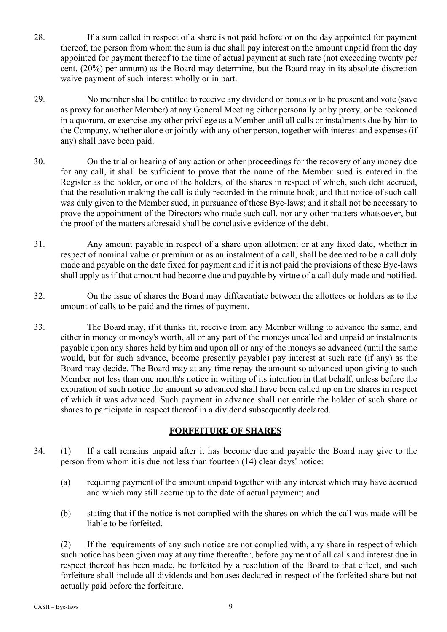- 28. If a sum called in respect of a share is not paid before or on the day appointed for payment thereof, the person from whom the sum is due shall pay interest on the amount unpaid from the day appointed for payment thereof to the time of actual payment at such rate (not exceeding twenty per cent. (20%) per annum) as the Board may determine, but the Board may in its absolute discretion waive payment of such interest wholly or in part.
- 29. No member shall be entitled to receive any dividend or bonus or to be present and vote (save as proxy for another Member) at any General Meeting either personally or by proxy, or be reckoned in a quorum, or exercise any other privilege as a Member until all calls or instalments due by him to the Company, whether alone or jointly with any other person, together with interest and expenses (if any) shall have been paid.
- 30. On the trial or hearing of any action or other proceedings for the recovery of any money due for any call, it shall be sufficient to prove that the name of the Member sued is entered in the Register as the holder, or one of the holders, of the shares in respect of which, such debt accrued, that the resolution making the call is duly recorded in the minute book, and that notice of such call was duly given to the Member sued, in pursuance of these Bye-laws; and it shall not be necessary to prove the appointment of the Directors who made such call, nor any other matters whatsoever, but the proof of the matters aforesaid shall be conclusive evidence of the debt.
- 31. Any amount payable in respect of a share upon allotment or at any fixed date, whether in respect of nominal value or premium or as an instalment of a call, shall be deemed to be a call duly made and payable on the date fixed for payment and if it is not paid the provisions of these Bye-laws shall apply as if that amount had become due and payable by virtue of a call duly made and notified.
- 32. On the issue of shares the Board may differentiate between the allottees or holders as to the amount of calls to be paid and the times of payment.
- 33. The Board may, if it thinks fit, receive from any Member willing to advance the same, and either in money or money's worth, all or any part of the moneys uncalled and unpaid or instalments payable upon any shares held by him and upon all or any of the moneys so advanced (until the same would, but for such advance, become presently payable) pay interest at such rate (if any) as the Board may decide. The Board may at any time repay the amount so advanced upon giving to such Member not less than one month's notice in writing of its intention in that behalf, unless before the expiration of such notice the amount so advanced shall have been called up on the shares in respect of which it was advanced. Such payment in advance shall not entitle the holder of such share or shares to participate in respect thereof in a dividend subsequently declared.

# **FORFEITURE OF SHARES**

- 34. (1) If a call remains unpaid after it has become due and payable the Board may give to the person from whom it is due not less than fourteen (14) clear days' notice:
	- (a) requiring payment of the amount unpaid together with any interest which may have accrued and which may still accrue up to the date of actual payment; and
	- (b) stating that if the notice is not complied with the shares on which the call was made will be liable to be forfeited.

(2) If the requirements of any such notice are not complied with, any share in respect of which such notice has been given may at any time thereafter, before payment of all calls and interest due in respect thereof has been made, be forfeited by a resolution of the Board to that effect, and such forfeiture shall include all dividends and bonuses declared in respect of the forfeited share but not actually paid before the forfeiture.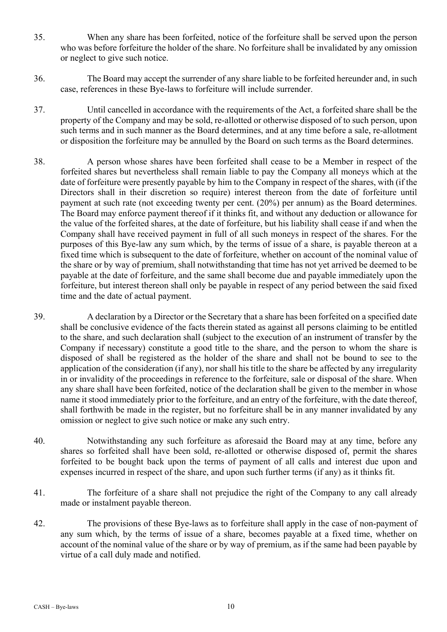- 35. When any share has been forfeited, notice of the forfeiture shall be served upon the person who was before forfeiture the holder of the share. No forfeiture shall be invalidated by any omission or neglect to give such notice.
- 36. The Board may accept the surrender of any share liable to be forfeited hereunder and, in such case, references in these Bye-laws to forfeiture will include surrender.
- 37. Until cancelled in accordance with the requirements of the Act, a forfeited share shall be the property of the Company and may be sold, re-allotted or otherwise disposed of to such person, upon such terms and in such manner as the Board determines, and at any time before a sale, re-allotment or disposition the forfeiture may be annulled by the Board on such terms as the Board determines.
- 38. A person whose shares have been forfeited shall cease to be a Member in respect of the forfeited shares but nevertheless shall remain liable to pay the Company all moneys which at the date of forfeiture were presently payable by him to the Company in respect of the shares, with (if the Directors shall in their discretion so require) interest thereon from the date of forfeiture until payment at such rate (not exceeding twenty per cent. (20%) per annum) as the Board determines. The Board may enforce payment thereof if it thinks fit, and without any deduction or allowance for the value of the forfeited shares, at the date of forfeiture, but his liability shall cease if and when the Company shall have received payment in full of all such moneys in respect of the shares. For the purposes of this Bye-law any sum which, by the terms of issue of a share, is payable thereon at a fixed time which is subsequent to the date of forfeiture, whether on account of the nominal value of the share or by way of premium, shall notwithstanding that time has not yet arrived be deemed to be payable at the date of forfeiture, and the same shall become due and payable immediately upon the forfeiture, but interest thereon shall only be payable in respect of any period between the said fixed time and the date of actual payment.
- 39. A declaration by a Director or the Secretary that a share has been forfeited on a specified date shall be conclusive evidence of the facts therein stated as against all persons claiming to be entitled to the share, and such declaration shall (subject to the execution of an instrument of transfer by the Company if necessary) constitute a good title to the share, and the person to whom the share is disposed of shall be registered as the holder of the share and shall not be bound to see to the application of the consideration (if any), nor shall his title to the share be affected by any irregularity in or invalidity of the proceedings in reference to the forfeiture, sale or disposal of the share. When any share shall have been forfeited, notice of the declaration shall be given to the member in whose name it stood immediately prior to the forfeiture, and an entry of the forfeiture, with the date thereof, shall forthwith be made in the register, but no forfeiture shall be in any manner invalidated by any omission or neglect to give such notice or make any such entry.
- 40. Notwithstanding any such forfeiture as aforesaid the Board may at any time, before any shares so forfeited shall have been sold, re-allotted or otherwise disposed of, permit the shares forfeited to be bought back upon the terms of payment of all calls and interest due upon and expenses incurred in respect of the share, and upon such further terms (if any) as it thinks fit.
- 41. The forfeiture of a share shall not prejudice the right of the Company to any call already made or instalment payable thereon.
- 42. The provisions of these Bye-laws as to forfeiture shall apply in the case of non-payment of any sum which, by the terms of issue of a share, becomes payable at a fixed time, whether on account of the nominal value of the share or by way of premium, as if the same had been payable by virtue of a call duly made and notified.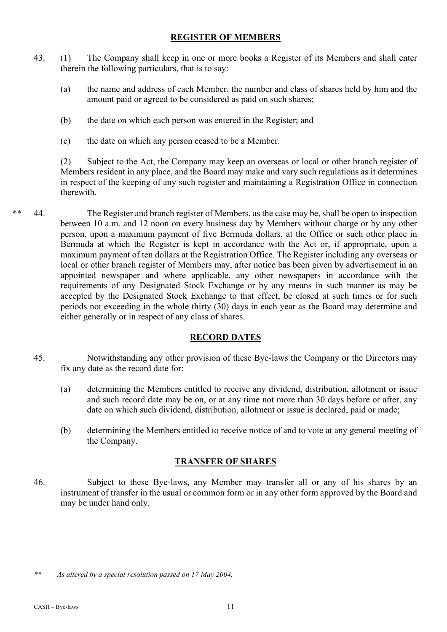## **REGISTER OF MEMBERS**

- 43. (1) The Company shall keep in one or more books a Register of its Members and shall enter therein the following particulars, that is to say:
	- (a) the name and address of each Member, the number and class of shares held by him and the amount paid or agreed to be considered as paid on such shares;
	- (b) the date on which each person was entered in the Register; and
	- (c) the date on which any person ceased to be a Member.

(2) Subject to the Act, the Company may keep an overseas or local or other branch register of Members resident in any place, and the Board may make and vary such regulations as it determines in respect of the keeping of any such register and maintaining a Registration Office in connection therewith.

\*\* 44. The Register and branch register of Members, as the case may be, shall be open to inspection between 10 a.m. and 12 noon on every business day by Members without charge or by any other person, upon a maximum payment of five Bermuda dollars, at the Office or such other place in Bermuda at which the Register is kept in accordance with the Act or, if appropriate, upon a maximum payment of ten dollars at the Registration Office. The Register including any overseas or local or other branch register of Members may, after notice bas been given by advertisement in an appointed newspaper and where applicable, any other newspapers in accordance with the requirements of any Designated Stock Exchange or by any means in such manner as may be accepted by the Designated Stock Exchange to that effect, be closed at such times or for such periods not exceeding in the whole thirty (30) days in each year as the Board may determine and either generally or in respect of any class of shares.

# **RECORD DATES**

- 45. Notwithstanding any other provision of these Bye-laws the Company or the Directors may fix any date as the record date for:
	- (a) determining the Members entitled to receive any dividend, distribution, allotment or issue and such record date may be on, or at any time not more than 30 days before or after, any date on which such dividend, distribution, allotment or issue is declared, paid or made;
	- (b) determining the Members entitled to receive notice of and to vote at any general meeting of the Company.

# **TRANSFER OF SHARES**

46. Subject to these Bye-laws, any Member may transfer all or any of his shares by an instrument of transfer in the usual or common form or in any other form approved by the Board and may be under hand only.

*<sup>\*\*</sup> As altered by a special resolution passed on 17 May 2004.*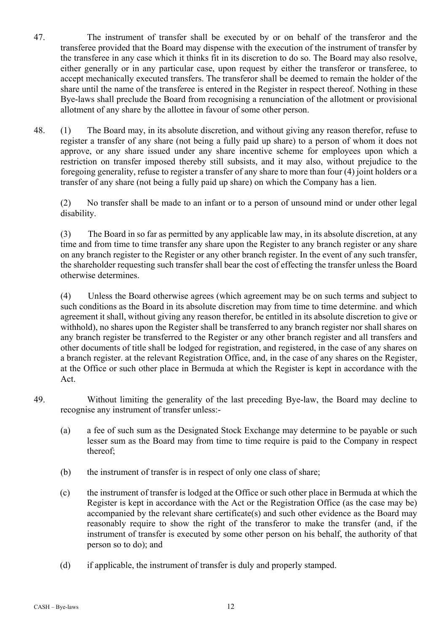- 47. The instrument of transfer shall be executed by or on behalf of the transferor and the transferee provided that the Board may dispense with the execution of the instrument of transfer by the transferee in any case which it thinks fit in its discretion to do so. The Board may also resolve, either generally or in any particular case, upon request by either the transferor or transferee, to accept mechanically executed transfers. The transferor shall be deemed to remain the holder of the share until the name of the transferee is entered in the Register in respect thereof. Nothing in these Bye-laws shall preclude the Board from recognising a renunciation of the allotment or provisional allotment of any share by the allottee in favour of some other person.
- 48. (1) The Board may, in its absolute discretion, and without giving any reason therefor, refuse to register a transfer of any share (not being a fully paid up share) to a person of whom it does not approve, or any share issued under any share incentive scheme for employees upon which a restriction on transfer imposed thereby still subsists, and it may also, without prejudice to the foregoing generality, refuse to register a transfer of any share to more than four (4) joint holders or a transfer of any share (not being a fully paid up share) on which the Company has a lien.

(2) No transfer shall be made to an infant or to a person of unsound mind or under other legal disability.

(3) The Board in so far as permitted by any applicable law may, in its absolute discretion, at any time and from time to time transfer any share upon the Register to any branch register or any share on any branch register to the Register or any other branch register. In the event of any such transfer, the shareholder requesting such transfer shall bear the cost of effecting the transfer unless the Board otherwise determines.

(4) Unless the Board otherwise agrees (which agreement may be on such terms and subject to such conditions as the Board in its absolute discretion may from time to time determine. and which agreement it shall, without giving any reason therefor, be entitled in its absolute discretion to give or withhold), no shares upon the Register shall be transferred to any branch register nor shall shares on any branch register be transferred to the Register or any other branch register and all transfers and other documents of title shall be lodged for registration, and registered, in the case of any shares on a branch register. at the relevant Registration Office, and, in the case of any shares on the Register, at the Office or such other place in Bermuda at which the Register is kept in accordance with the Act.

- 49. Without limiting the generality of the last preceding Bye-law, the Board may decline to recognise any instrument of transfer unless:-
	- (a) a fee of such sum as the Designated Stock Exchange may determine to be payable or such lesser sum as the Board may from time to time require is paid to the Company in respect thereof;
	- (b) the instrument of transfer is in respect of only one class of share;
	- (c) the instrument of transfer is lodged at the Office or such other place in Bermuda at which the Register is kept in accordance with the Act or the Registration Office (as the case may be) accompanied by the relevant share certificate(s) and such other evidence as the Board may reasonably require to show the right of the transferor to make the transfer (and, if the instrument of transfer is executed by some other person on his behalf, the authority of that person so to do); and
	- (d) if applicable, the instrument of transfer is duly and properly stamped.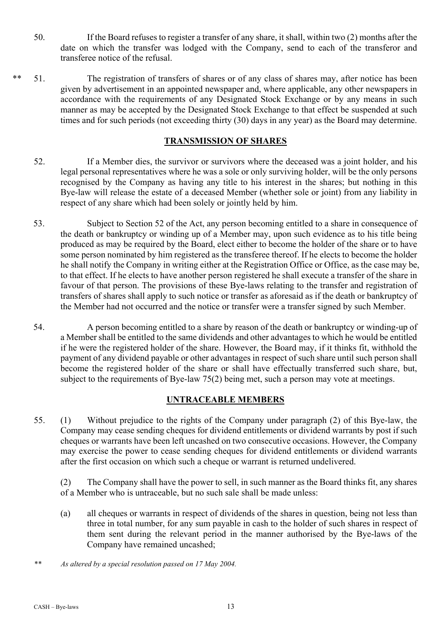- 50. If the Board refuses to register a transfer of any share, it shall, within two (2) months after the date on which the transfer was lodged with the Company, send to each of the transferor and transferee notice of the refusal.
- \*\* 51. The registration of transfers of shares or of any class of shares may, after notice has been given by advertisement in an appointed newspaper and, where applicable, any other newspapers in accordance with the requirements of any Designated Stock Exchange or by any means in such manner as may be accepted by the Designated Stock Exchange to that effect be suspended at such times and for such periods (not exceeding thirty (30) days in any year) as the Board may determine.

### **TRANSMISSION OF SHARES**

- 52. If a Member dies, the survivor or survivors where the deceased was a joint holder, and his legal personal representatives where he was a sole or only surviving holder, will be the only persons recognised by the Company as having any title to his interest in the shares; but nothing in this Bye-law will release the estate of a deceased Member (whether sole or joint) from any liability in respect of any share which had been solely or jointly held by him.
- 53. Subject to Section 52 of the Act, any person becoming entitled to a share in consequence of the death or bankruptcy or winding up of a Member may, upon such evidence as to his title being produced as may be required by the Board, elect either to become the holder of the share or to have some person nominated by him registered as the transferee thereof. If he elects to become the holder he shall notify the Company in writing either at the Registration Office or Office, as the case may be, to that effect. If he elects to have another person registered he shall execute a transfer of the share in favour of that person. The provisions of these Bye-laws relating to the transfer and registration of transfers of shares shall apply to such notice or transfer as aforesaid as if the death or bankruptcy of the Member had not occurred and the notice or transfer were a transfer signed by such Member.
- 54. A person becoming entitled to a share by reason of the death or bankruptcy or winding-up of a Member shall be entitled to the same dividends and other advantages to which he would be entitled if he were the registered holder of the share. However, the Board may, if it thinks fit, withhold the payment of any dividend payable or other advantages in respect of such share until such person shall become the registered holder of the share or shall have effectually transferred such share, but, subject to the requirements of Bye-law 75(2) being met, such a person may vote at meetings.

# **UNTRACEABLE MEMBERS**

55. (1) Without prejudice to the rights of the Company under paragraph (2) of this Bye-law, the Company may cease sending cheques for dividend entitlements or dividend warrants by post if such cheques or warrants have been left uncashed on two consecutive occasions. However, the Company may exercise the power to cease sending cheques for dividend entitlements or dividend warrants after the first occasion on which such a cheque or warrant is returned undelivered.

(2) The Company shall have the power to sell, in such manner as the Board thinks fit, any shares of a Member who is untraceable, but no such sale shall be made unless:

- (a) all cheques or warrants in respect of dividends of the shares in question, being not less than three in total number, for any sum payable in cash to the holder of such shares in respect of them sent during the relevant period in the manner authorised by the Bye-laws of the Company have remained uncashed;
- *\*\* As altered by a special resolution passed on 17 May 2004.*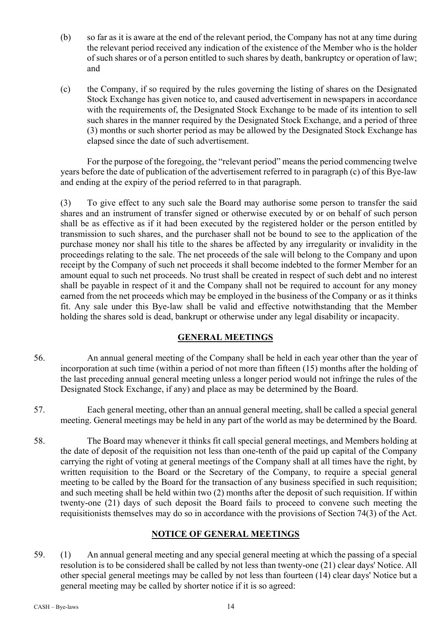- (b) so far as it is aware at the end of the relevant period, the Company has not at any time during the relevant period received any indication of the existence of the Member who is the holder of such shares or of a person entitled to such shares by death, bankruptcy or operation of law; and
- (c) the Company, if so required by the rules governing the listing of shares on the Designated Stock Exchange has given notice to, and caused advertisement in newspapers in accordance with the requirements of, the Designated Stock Exchange to be made of its intention to sell such shares in the manner required by the Designated Stock Exchange, and a period of three (3) months or such shorter period as may be allowed by the Designated Stock Exchange has elapsed since the date of such advertisement.

For the purpose of the foregoing, the "relevant period" means the period commencing twelve years before the date of publication of the advertisement referred to in paragraph (c) of this Bye-law and ending at the expiry of the period referred to in that paragraph.

(3) To give effect to any such sale the Board may authorise some person to transfer the said shares and an instrument of transfer signed or otherwise executed by or on behalf of such person shall be as effective as if it had been executed by the registered holder or the person entitled by transmission to such shares, and the purchaser shall not be bound to see to the application of the purchase money nor shall his title to the shares be affected by any irregularity or invalidity in the proceedings relating to the sale. The net proceeds of the sale will belong to the Company and upon receipt by the Company of such net proceeds it shall become indebted to the former Member for an amount equal to such net proceeds. No trust shall be created in respect of such debt and no interest shall be payable in respect of it and the Company shall not be required to account for any money earned from the net proceeds which may be employed in the business of the Company or as it thinks fit. Any sale under this Bye-law shall be valid and effective notwithstanding that the Member holding the shares sold is dead, bankrupt or otherwise under any legal disability or incapacity.

# **GENERAL MEETINGS**

- 56. An annual general meeting of the Company shall be held in each year other than the year of incorporation at such time (within a period of not more than fifteen (15) months after the holding of the last preceding annual general meeting unless a longer period would not infringe the rules of the Designated Stock Exchange, if any) and place as may be determined by the Board.
- 57. Each general meeting, other than an annual general meeting, shall be called a special general meeting. General meetings may be held in any part of the world as may be determined by the Board.
- 58. The Board may whenever it thinks fit call special general meetings, and Members holding at the date of deposit of the requisition not less than one-tenth of the paid up capital of the Company carrying the right of voting at general meetings of the Company shall at all times have the right, by written requisition to the Board or the Secretary of the Company, to require a special general meeting to be called by the Board for the transaction of any business specified in such requisition; and such meeting shall be held within two (2) months after the deposit of such requisition. If within twenty-one (21) days of such deposit the Board fails to proceed to convene such meeting the requisitionists themselves may do so in accordance with the provisions of Section 74(3) of the Act.

# **NOTICE OF GENERAL MEETINGS**

59. (1) An annual general meeting and any special general meeting at which the passing of a special resolution is to be considered shall be called by not less than twenty-one (21) clear days' Notice. All other special general meetings may be called by not less than fourteen (14) clear days' Notice but a general meeting may be called by shorter notice if it is so agreed: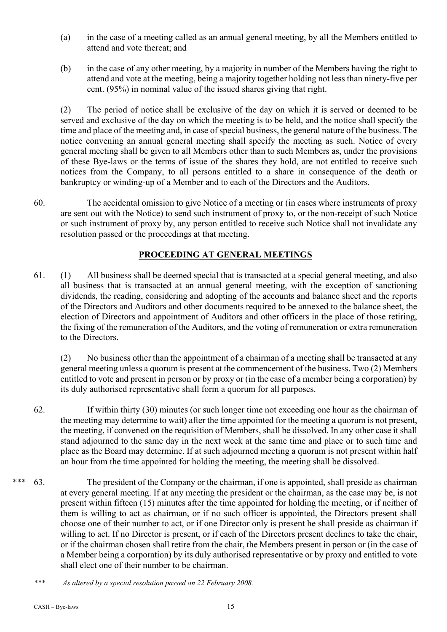- (a) in the case of a meeting called as an annual general meeting, by all the Members entitled to attend and vote thereat; and
- (b) in the case of any other meeting, by a majority in number of the Members having the right to attend and vote at the meeting, being a majority together holding not less than ninety-five per cent. (95%) in nominal value of the issued shares giving that right.

(2) The period of notice shall be exclusive of the day on which it is served or deemed to be served and exclusive of the day on which the meeting is to be held, and the notice shall specify the time and place of the meeting and, in case of special business, the general nature of the business. The notice convening an annual general meeting shall specify the meeting as such. Notice of every general meeting shall be given to all Members other than to such Members as, under the provisions of these Bye-laws or the terms of issue of the shares they hold, are not entitled to receive such notices from the Company, to all persons entitled to a share in consequence of the death or bankruptcy or winding-up of a Member and to each of the Directors and the Auditors.

60. The accidental omission to give Notice of a meeting or (in cases where instruments of proxy are sent out with the Notice) to send such instrument of proxy to, or the non-receipt of such Notice or such instrument of proxy by, any person entitled to receive such Notice shall not invalidate any resolution passed or the proceedings at that meeting.

# **PROCEEDING AT GENERAL MEETINGS**

61. (1) All business shall be deemed special that is transacted at a special general meeting, and also all business that is transacted at an annual general meeting, with the exception of sanctioning dividends, the reading, considering and adopting of the accounts and balance sheet and the reports of the Directors and Auditors and other documents required to be annexed to the balance sheet, the election of Directors and appointment of Auditors and other officers in the place of those retiring, the fixing of the remuneration of the Auditors, and the voting of remuneration or extra remuneration to the Directors.

(2) No business other than the appointment of a chairman of a meeting shall be transacted at any general meeting unless a quorum is present at the commencement of the business. Two (2) Members entitled to vote and present in person or by proxy or (in the case of a member being a corporation) by its duly authorised representative shall form a quorum for all purposes.

62. If within thirty (30) minutes (or such longer time not exceeding one hour as the chairman of the meeting may determine to wait) after the time appointed for the meeting a quorum is not present, the meeting, if convened on the requisition of Members, shall be dissolved. In any other case it shall stand adjourned to the same day in the next week at the same time and place or to such time and place as the Board may determine. If at such adjourned meeting a quorum is not present within half an hour from the time appointed for holding the meeting, the meeting shall be dissolved.

\*\*\* 63. The president of the Company or the chairman, if one is appointed, shall preside as chairman at every general meeting. If at any meeting the president or the chairman, as the case may be, is not present within fifteen (15) minutes after the time appointed for holding the meeting, or if neither of them is willing to act as chairman, or if no such officer is appointed, the Directors present shall choose one of their number to act, or if one Director only is present he shall preside as chairman if willing to act. If no Director is present, or if each of the Directors present declines to take the chair, or if the chairman chosen shall retire from the chair, the Members present in person or (in the case of a Member being a corporation) by its duly authorised representative or by proxy and entitled to vote shall elect one of their number to be chairman.

*<sup>\*\*\*</sup> As altered by a special resolution passed on 22 February 2008.*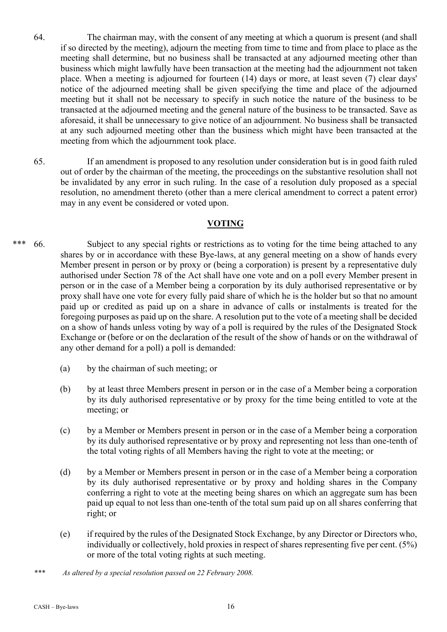- 64. The chairman may, with the consent of any meeting at which a quorum is present (and shall if so directed by the meeting), adjourn the meeting from time to time and from place to place as the meeting shall determine, but no business shall be transacted at any adjourned meeting other than business which might lawfully have been transaction at the meeting had the adjournment not taken place. When a meeting is adjourned for fourteen (14) days or more, at least seven (7) clear days' notice of the adjourned meeting shall be given specifying the time and place of the adjourned meeting but it shall not be necessary to specify in such notice the nature of the business to be transacted at the adjourned meeting and the general nature of the business to be transacted. Save as aforesaid, it shall be unnecessary to give notice of an adjournment. No business shall be transacted at any such adjourned meeting other than the business which might have been transacted at the meeting from which the adjournment took place.
- 65. If an amendment is proposed to any resolution under consideration but is in good faith ruled out of order by the chairman of the meeting, the proceedings on the substantive resolution shall not be invalidated by any error in such ruling. In the case of a resolution duly proposed as a special resolution, no amendment thereto (other than a mere clerical amendment to correct a patent error) may in any event be considered or voted upon.

### **VOTING**

- \*\*\* 66. Subject to any special rights or restrictions as to voting for the time being attached to any shares by or in accordance with these Bye-laws, at any general meeting on a show of hands every Member present in person or by proxy or (being a corporation) is present by a representative duly authorised under Section 78 of the Act shall have one vote and on a poll every Member present in person or in the case of a Member being a corporation by its duly authorised representative or by proxy shall have one vote for every fully paid share of which he is the holder but so that no amount paid up or credited as paid up on a share in advance of calls or instalments is treated for the foregoing purposes as paid up on the share. A resolution put to the vote of a meeting shall be decided on a show of hands unless voting by way of a poll is required by the rules of the Designated Stock Exchange or (before or on the declaration of the result of the show of hands or on the withdrawal of any other demand for a poll) a poll is demanded:
	- (a) by the chairman of such meeting; or
	- (b) by at least three Members present in person or in the case of a Member being a corporation by its duly authorised representative or by proxy for the time being entitled to vote at the meeting; or
	- (c) by a Member or Members present in person or in the case of a Member being a corporation by its duly authorised representative or by proxy and representing not less than one-tenth of the total voting rights of all Members having the right to vote at the meeting; or
	- (d) by a Member or Members present in person or in the case of a Member being a corporation by its duly authorised representative or by proxy and holding shares in the Company conferring a right to vote at the meeting being shares on which an aggregate sum has been paid up equal to not less than one-tenth of the total sum paid up on all shares conferring that right; or
	- (e) if required by the rules of the Designated Stock Exchange, by any Director or Directors who, individually or collectively, hold proxies in respect of shares representing five per cent. (5%) or more of the total voting rights at such meeting.
	- *\*\*\* As altered by a special resolution passed on 22 February 2008.*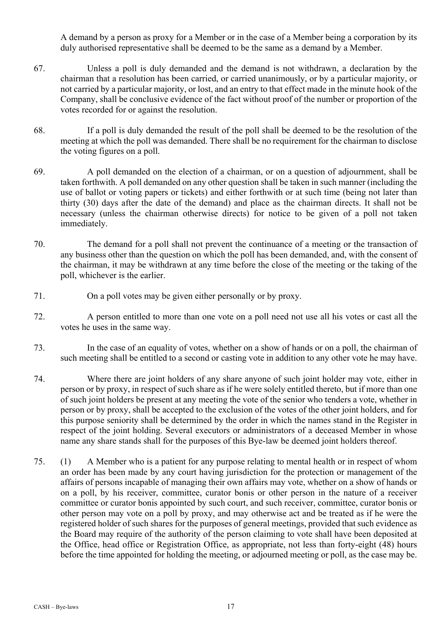A demand by a person as proxy for a Member or in the case of a Member being a corporation by its duly authorised representative shall be deemed to be the same as a demand by a Member.

- 67. Unless a poll is duly demanded and the demand is not withdrawn, a declaration by the chairman that a resolution has been carried, or carried unanimously, or by a particular majority, or not carried by a particular majority, or lost, and an entry to that effect made in the minute hook of the Company, shall be conclusive evidence of the fact without proof of the number or proportion of the votes recorded for or against the resolution.
- 68. If a poll is duly demanded the result of the poll shall be deemed to be the resolution of the meeting at which the poll was demanded. There shall be no requirement for the chairman to disclose the voting figures on a poll.
- 69. A poll demanded on the election of a chairman, or on a question of adjournment, shall be taken forthwith. A poll demanded on any other question shall be taken in such manner (including the use of ballot or voting papers or tickets) and either forthwith or at such time (being not later than thirty (30) days after the date of the demand) and place as the chairman directs. It shall not be necessary (unless the chairman otherwise directs) for notice to be given of a poll not taken immediately.
- 70. The demand for a poll shall not prevent the continuance of a meeting or the transaction of any business other than the question on which the poll has been demanded, and, with the consent of the chairman, it may be withdrawn at any time before the close of the meeting or the taking of the poll, whichever is the earlier.
- 71. On a poll votes may be given either personally or by proxy.
- 72. A person entitled to more than one vote on a poll need not use all his votes or cast all the votes he uses in the same way.
- 73. In the case of an equality of votes, whether on a show of hands or on a poll, the chairman of such meeting shall be entitled to a second or casting vote in addition to any other vote he may have.
- 74. Where there are joint holders of any share anyone of such joint holder may vote, either in person or by proxy, in respect of such share as if he were solely entitled thereto, but if more than one of such joint holders be present at any meeting the vote of the senior who tenders a vote, whether in person or by proxy, shall be accepted to the exclusion of the votes of the other joint holders, and for this purpose seniority shall be determined by the order in which the names stand in the Register in respect of the joint holding. Several executors or administrators of a deceased Member in whose name any share stands shall for the purposes of this Bye-law be deemed joint holders thereof.
- 75. (1) A Member who is a patient for any purpose relating to mental health or in respect of whom an order has been made by any court having jurisdiction for the protection or management of the affairs of persons incapable of managing their own affairs may vote, whether on a show of hands or on a poll, by his receiver, committee, curator bonis or other person in the nature of a receiver committee or curator bonis appointed by such court, and such receiver, committee, curator bonis or other person may vote on a poll by proxy, and may otherwise act and be treated as if he were the registered holder of such shares for the purposes of general meetings, provided that such evidence as the Board may require of the authority of the person claiming to vote shall have been deposited at the Office, head office or Registration Office, as appropriate, not less than forty-eight (48) hours before the time appointed for holding the meeting, or adjourned meeting or poll, as the case may be.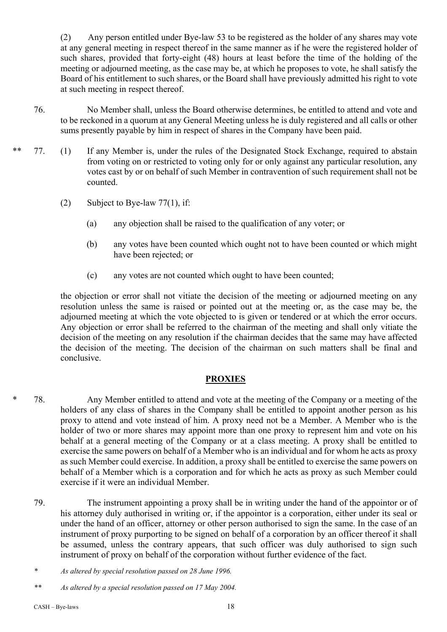(2) Any person entitled under Bye-law 53 to be registered as the holder of any shares may vote at any general meeting in respect thereof in the same manner as if he were the registered holder of such shares, provided that forty-eight (48) hours at least before the time of the holding of the meeting or adjourned meeting, as the case may be, at which he proposes to vote, he shall satisfy the Board of his entitlement to such shares, or the Board shall have previously admitted his right to vote at such meeting in respect thereof.

- 76. No Member shall, unless the Board otherwise determines, be entitled to attend and vote and to be reckoned in a quorum at any General Meeting unless he is duly registered and all calls or other sums presently payable by him in respect of shares in the Company have been paid.
- 77. (1) If any Member is, under the rules of the Designated Stock Exchange, required to abstain from voting on or restricted to voting only for or only against any particular resolution, any votes cast by or on behalf of such Member in contravention of such requirement shall not be counted.
	- (2) Subject to Bye-law 77(1), if:
		- (a) any objection shall be raised to the qualification of any voter; or
		- (b) any votes have been counted which ought not to have been counted or which might have been rejected; or
		- (c) any votes are not counted which ought to have been counted;

the objection or error shall not vitiate the decision of the meeting or adjourned meeting on any resolution unless the same is raised or pointed out at the meeting or, as the case may be, the adjourned meeting at which the vote objected to is given or tendered or at which the error occurs. Any objection or error shall be referred to the chairman of the meeting and shall only vitiate the decision of the meeting on any resolution if the chairman decides that the same may have affected the decision of the meeting. The decision of the chairman on such matters shall be final and conclusive.

# **PROXIES**

- \* 78. Any Member entitled to attend and vote at the meeting of the Company or a meeting of the holders of any class of shares in the Company shall be entitled to appoint another person as his proxy to attend and vote instead of him. A proxy need not be a Member. A Member who is the holder of two or more shares may appoint more than one proxy to represent him and vote on his behalf at a general meeting of the Company or at a class meeting. A proxy shall be entitled to exercise the same powers on behalf of a Member who is an individual and for whom he acts as proxy as such Member could exercise. In addition, a proxy shall be entitled to exercise the same powers on behalf of a Member which is a corporation and for which he acts as proxy as such Member could exercise if it were an individual Member.
	- 79. The instrument appointing a proxy shall be in writing under the hand of the appointor or of his attorney duly authorised in writing or, if the appointor is a corporation, either under its seal or under the hand of an officer, attorney or other person authorised to sign the same. In the case of an instrument of proxy purporting to be signed on behalf of a corporation by an officer thereof it shall be assumed, unless the contrary appears, that such officer was duly authorised to sign such instrument of proxy on behalf of the corporation without further evidence of the fact.

*<sup>\*</sup> As altered by special resolution passed on 28 June 1996.*

*<sup>\*\*</sup> As altered by a special resolution passed on 17 May 2004.*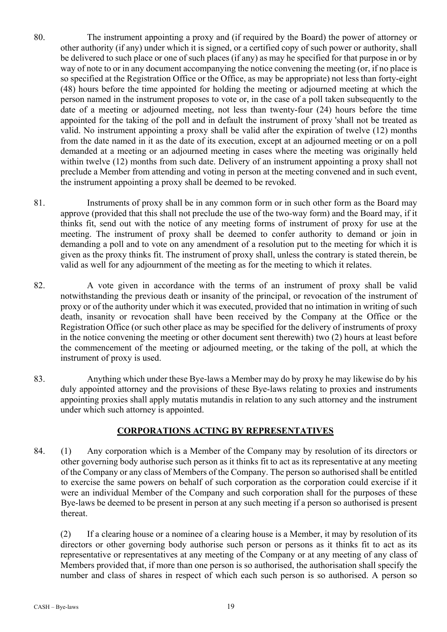- 80. The instrument appointing a proxy and (if required by the Board) the power of attorney or other authority (if any) under which it is signed, or a certified copy of such power or authority, shall be delivered to such place or one of such places (if any) as may he specified for that purpose in or by way of note to or in any document accompanying the notice convening the meeting (or, if no place is so specified at the Registration Office or the Office, as may be appropriate) not less than forty-eight (48) hours before the time appointed for holding the meeting or adjourned meeting at which the person named in the instrument proposes to vote or, in the case of a poll taken subsequently to the date of a meeting or adjourned meeting, not less than twenty-four (24) hours before the time appointed for the taking of the poll and in default the instrument of proxy 'shall not be treated as valid. No instrument appointing a proxy shall be valid after the expiration of twelve (12) months from the date named in it as the date of its execution, except at an adjourned meeting or on a poll demanded at a meeting or an adjourned meeting in cases where the meeting was originally held within twelve (12) months from such date. Delivery of an instrument appointing a proxy shall not preclude a Member from attending and voting in person at the meeting convened and in such event, the instrument appointing a proxy shall be deemed to be revoked.
- 81. Instruments of proxy shall be in any common form or in such other form as the Board may approve (provided that this shall not preclude the use of the two-way form) and the Board may, if it thinks fit, send out with the notice of any meeting forms of instrument of proxy for use at the meeting. The instrument of proxy shall be deemed to confer authority to demand or join in demanding a poll and to vote on any amendment of a resolution put to the meeting for which it is given as the proxy thinks fit. The instrument of proxy shall, unless the contrary is stated therein, be valid as well for any adjournment of the meeting as for the meeting to which it relates.
- 82. A vote given in accordance with the terms of an instrument of proxy shall be valid notwithstanding the previous death or insanity of the principal, or revocation of the instrument of proxy or of the authority under which it was executed, provided that no intimation in writing of such death, insanity or revocation shall have been received by the Company at the Office or the Registration Office (or such other place as may be specified for the delivery of instruments of proxy in the notice convening the meeting or other document sent therewith) two (2) hours at least before the commencement of the meeting or adjourned meeting, or the taking of the poll, at which the instrument of proxy is used.
- 83. Anything which under these Bye-laws a Member may do by proxy he may likewise do by his duly appointed attorney and the provisions of these Bye-laws relating to proxies and instruments appointing proxies shall apply mutatis mutandis in relation to any such attorney and the instrument under which such attorney is appointed.

# **CORPORATIONS ACTING BY REPRESENTATIVES**

84. (1) Any corporation which is a Member of the Company may by resolution of its directors or other governing body authorise such person as it thinks fit to act as its representative at any meeting of the Company or any class of Members of the Company. The person so authorised shall be entitled to exercise the same powers on behalf of such corporation as the corporation could exercise if it were an individual Member of the Company and such corporation shall for the purposes of these Bye-laws be deemed to be present in person at any such meeting if a person so authorised is present thereat.

(2) If a clearing house or a nominee of a clearing house is a Member, it may by resolution of its directors or other governing body authorise such person or persons as it thinks fit to act as its representative or representatives at any meeting of the Company or at any meeting of any class of Members provided that, if more than one person is so authorised, the authorisation shall specify the number and class of shares in respect of which each such person is so authorised. A person so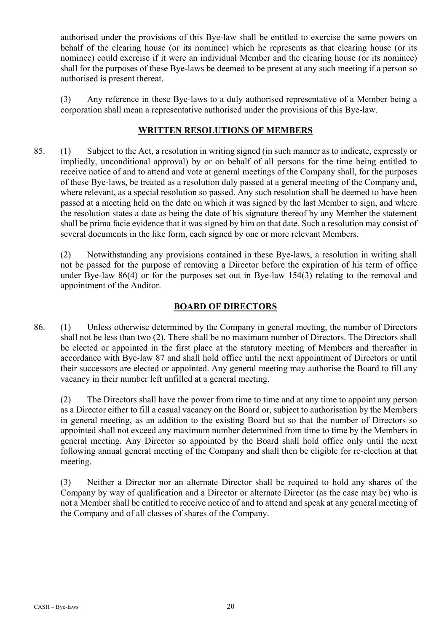authorised under the provisions of this Bye-law shall be entitled to exercise the same powers on behalf of the clearing house (or its nominee) which he represents as that clearing house (or its nominee) could exercise if it were an individual Member and the clearing house (or its nominee) shall for the purposes of these Bye-laws be deemed to be present at any such meeting if a person so authorised is present thereat.

(3) Any reference in these Bye-laws to a duly authorised representative of a Member being a corporation shall mean a representative authorised under the provisions of this Bye-law.

## **WRITTEN RESOLUTIONS OF MEMBERS**

85. (1) Subject to the Act, a resolution in writing signed (in such manner as to indicate, expressly or impliedly, unconditional approval) by or on behalf of all persons for the time being entitled to receive notice of and to attend and vote at general meetings of the Company shall, for the purposes of these Bye-laws, be treated as a resolution duly passed at a general meeting of the Company and, where relevant, as a special resolution so passed. Any such resolution shall be deemed to have been passed at a meeting held on the date on which it was signed by the last Member to sign, and where the resolution states a date as being the date of his signature thereof by any Member the statement shall be prima facie evidence that it was signed by him on that date. Such a resolution may consist of several documents in the like form, each signed by one or more relevant Members.

(2) Notwithstanding any provisions contained in these Bye-laws, a resolution in writing shall not be passed for the purpose of removing a Director before the expiration of his term of office under Bye-law 86(4) or for the purposes set out in Bye-law 154(3) relating to the removal and appointment of the Auditor.

# **BOARD OF DIRECTORS**

86. (1) Unless otherwise determined by the Company in general meeting, the number of Directors shall not be less than two (2). There shall be no maximum number of Directors. The Directors shall be elected or appointed in the first place at the statutory meeting of Members and thereafter in accordance with Bye-law 87 and shall hold office until the next appointment of Directors or until their successors are elected or appointed. Any general meeting may authorise the Board to fill any vacancy in their number left unfilled at a general meeting.

(2) The Directors shall have the power from time to time and at any time to appoint any person as a Director either to fill a casual vacancy on the Board or, subject to authorisation by the Members in general meeting, as an addition to the existing Board but so that the number of Directors so appointed shall not exceed any maximum number determined from time to time by the Members in general meeting. Any Director so appointed by the Board shall hold office only until the next following annual general meeting of the Company and shall then be eligible for re-election at that meeting.

(3) Neither a Director nor an alternate Director shall be required to hold any shares of the Company by way of qualification and a Director or alternate Director (as the case may be) who is not a Member shall be entitled to receive notice of and to attend and speak at any general meeting of the Company and of all classes of shares of the Company.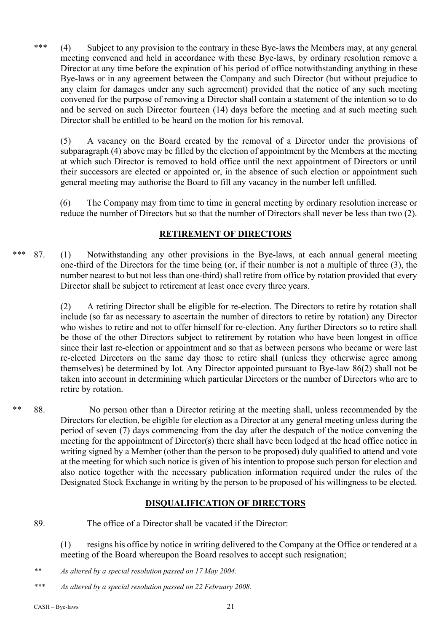\*\*\* (4) Subject to any provision to the contrary in these Bye-laws the Members may, at any general meeting convened and held in accordance with these Bye-laws, by ordinary resolution remove a Director at any time before the expiration of his period of office notwithstanding anything in these Bye-laws or in any agreement between the Company and such Director (but without prejudice to any claim for damages under any such agreement) provided that the notice of any such meeting convened for the purpose of removing a Director shall contain a statement of the intention so to do and be served on such Director fourteen (14) days before the meeting and at such meeting such Director shall be entitled to be heard on the motion for his removal.

(5) A vacancy on the Board created by the removal of a Director under the provisions of subparagraph (4) above may be filled by the election of appointment by the Members at the meeting at which such Director is removed to hold office until the next appointment of Directors or until their successors are elected or appointed or, in the absence of such election or appointment such general meeting may authorise the Board to fill any vacancy in the number left unfilled.

(6) The Company may from time to time in general meeting by ordinary resolution increase or reduce the number of Directors but so that the number of Directors shall never be less than two (2).

# **RETIREMENT OF DIRECTORS**

\*\*\* 87. (1) Notwithstanding any other provisions in the Bye-laws, at each annual general meeting one-third of the Directors for the time being (or, if their number is not a multiple of three (3), the number nearest to but not less than one-third) shall retire from office by rotation provided that every Director shall be subject to retirement at least once every three years.

> (2) A retiring Director shall be eligible for re-election. The Directors to retire by rotation shall include (so far as necessary to ascertain the number of directors to retire by rotation) any Director who wishes to retire and not to offer himself for re-election. Any further Directors so to retire shall be those of the other Directors subject to retirement by rotation who have been longest in office since their last re-election or appointment and so that as between persons who became or were last re-elected Directors on the same day those to retire shall (unless they otherwise agree among themselves) be determined by lot. Any Director appointed pursuant to Bye-law 86(2) shall not be taken into account in determining which particular Directors or the number of Directors who are to retire by rotation.

\*\* 88. No person other than a Director retiring at the meeting shall, unless recommended by the Directors for election, be eligible for election as a Director at any general meeting unless during the period of seven (7) days commencing from the day after the despatch of the notice convening the meeting for the appointment of Director(s) there shall have been lodged at the head office notice in writing signed by a Member (other than the person to be proposed) duly qualified to attend and vote at the meeting for which such notice is given of his intention to propose such person for election and also notice together with the necessary publication information required under the rules of the Designated Stock Exchange in writing by the person to be proposed of his willingness to be elected.

# **DISQUALIFICATION OF DIRECTORS**

89. The office of a Director shall be vacated if the Director:

(1) resigns his office by notice in writing delivered to the Company at the Office or tendered at a meeting of the Board whereupon the Board resolves to accept such resignation;

- *\*\* As altered by a special resolution passed on 17 May 2004.*
- *\*\*\* As altered by a special resolution passed on 22 February 2008.*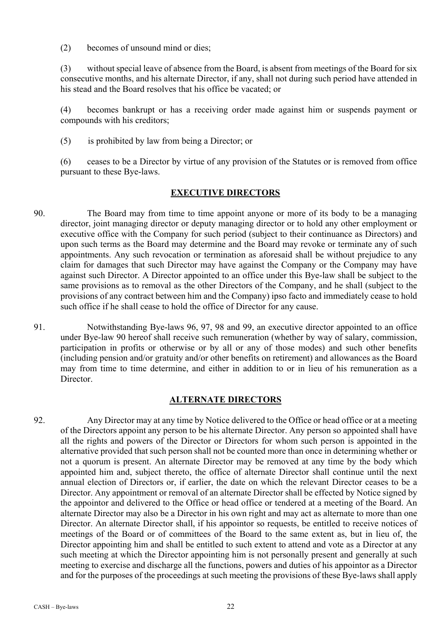(2) becomes of unsound mind or dies;

(3) without special leave of absence from the Board, is absent from meetings of the Board for six consecutive months, and his alternate Director, if any, shall not during such period have attended in his stead and the Board resolves that his office be vacated; or

(4) becomes bankrupt or has a receiving order made against him or suspends payment or compounds with his creditors;

(5) is prohibited by law from being a Director; or

(6) ceases to be a Director by virtue of any provision of the Statutes or is removed from office pursuant to these Bye-laws.

# **EXECUTIVE DIRECTORS**

- 90. The Board may from time to time appoint anyone or more of its body to be a managing director, joint managing director or deputy managing director or to hold any other employment or executive office with the Company for such period (subject to their continuance as Directors) and upon such terms as the Board may determine and the Board may revoke or terminate any of such appointments. Any such revocation or termination as aforesaid shall be without prejudice to any claim for damages that such Director may have against the Company or the Company may have against such Director. A Director appointed to an office under this Bye-law shall be subject to the same provisions as to removal as the other Directors of the Company, and he shall (subject to the provisions of any contract between him and the Company) ipso facto and immediately cease to hold such office if he shall cease to hold the office of Director for any cause.
- 91. Notwithstanding Bye-laws 96, 97, 98 and 99, an executive director appointed to an office under Bye-law 90 hereof shall receive such remuneration (whether by way of salary, commission, participation in profits or otherwise or by all or any of those modes) and such other benefits (including pension and/or gratuity and/or other benefits on retirement) and allowances as the Board may from time to time determine, and either in addition to or in lieu of his remuneration as a Director.

# **ALTERNATE DIRECTORS**

92. Any Director may at any time by Notice delivered to the Office or head office or at a meeting of the Directors appoint any person to be his alternate Director. Any person so appointed shall have all the rights and powers of the Director or Directors for whom such person is appointed in the alternative provided that such person shall not be counted more than once in determining whether or not a quorum is present. An alternate Director may be removed at any time by the body which appointed him and, subject thereto, the office of alternate Director shall continue until the next annual election of Directors or, if earlier, the date on which the relevant Director ceases to be a Director. Any appointment or removal of an alternate Director shall be effected by Notice signed by the appointor and delivered to the Office or head office or tendered at a meeting of the Board. An alternate Director may also be a Director in his own right and may act as alternate to more than one Director. An alternate Director shall, if his appointor so requests, be entitled to receive notices of meetings of the Board or of committees of the Board to the same extent as, but in lieu of, the Director appointing him and shall be entitled to such extent to attend and vote as a Director at any such meeting at which the Director appointing him is not personally present and generally at such meeting to exercise and discharge all the functions, powers and duties of his appointor as a Director and for the purposes of the proceedings at such meeting the provisions of these Bye-laws shall apply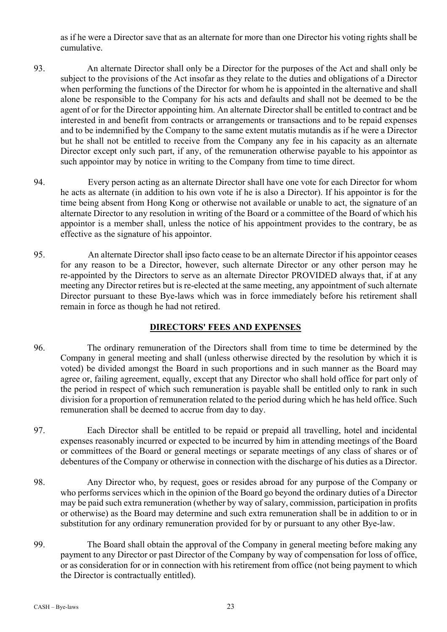as if he were a Director save that as an alternate for more than one Director his voting rights shall be cumulative.

- 93. An alternate Director shall only be a Director for the purposes of the Act and shall only be subject to the provisions of the Act insofar as they relate to the duties and obligations of a Director when performing the functions of the Director for whom he is appointed in the alternative and shall alone be responsible to the Company for his acts and defaults and shall not be deemed to be the agent of or for the Director appointing him. An alternate Director shall be entitled to contract and be interested in and benefit from contracts or arrangements or transactions and to be repaid expenses and to be indemnified by the Company to the same extent mutatis mutandis as if he were a Director but he shall not be entitled to receive from the Company any fee in his capacity as an alternate Director except only such part, if any, of the remuneration otherwise payable to his appointor as such appointor may by notice in writing to the Company from time to time direct.
- 94. Every person acting as an alternate Director shall have one vote for each Director for whom he acts as alternate (in addition to his own vote if he is also a Director). If his appointor is for the time being absent from Hong Kong or otherwise not available or unable to act, the signature of an alternate Director to any resolution in writing of the Board or a committee of the Board of which his appointor is a member shall, unless the notice of his appointment provides to the contrary, be as effective as the signature of his appointor.
- 95. An alternate Director shall ipso facto cease to be an alternate Director if his appointor ceases for any reason to be a Director, however, such alternate Director or any other person may he re-appointed by the Directors to serve as an alternate Director PROVIDED always that, if at any meeting any Director retires but is re-elected at the same meeting, any appointment of such alternate Director pursuant to these Bye-laws which was in force immediately before his retirement shall remain in force as though he had not retired.

# **DIRECTORS' FEES AND EXPENSES**

- 96. The ordinary remuneration of the Directors shall from time to time be determined by the Company in general meeting and shall (unless otherwise directed by the resolution by which it is voted) be divided amongst the Board in such proportions and in such manner as the Board may agree or, failing agreement, equally, except that any Director who shall hold office for part only of the period in respect of which such remuneration is payable shall be entitled only to rank in such division for a proportion of remuneration related to the period during which he has held office. Such remuneration shall be deemed to accrue from day to day.
- 97. Each Director shall be entitled to be repaid or prepaid all travelling, hotel and incidental expenses reasonably incurred or expected to be incurred by him in attending meetings of the Board or committees of the Board or general meetings or separate meetings of any class of shares or of debentures of the Company or otherwise in connection with the discharge of his duties as a Director.
- 98. Any Director who, by request, goes or resides abroad for any purpose of the Company or who performs services which in the opinion of the Board go beyond the ordinary duties of a Director may be paid such extra remuneration (whether by way of salary, commission, participation in profits or otherwise) as the Board may determine and such extra remuneration shall be in addition to or in substitution for any ordinary remuneration provided for by or pursuant to any other Bye-law.
- 99. The Board shall obtain the approval of the Company in general meeting before making any payment to any Director or past Director of the Company by way of compensation for loss of office, or as consideration for or in connection with his retirement from office (not being payment to which the Director is contractually entitled).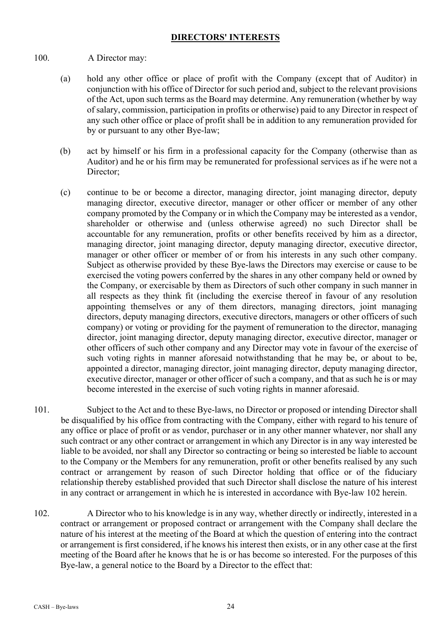### **DIRECTORS' INTERESTS**

- 100. A Director may:
	- (a) hold any other office or place of profit with the Company (except that of Auditor) in conjunction with his office of Director for such period and, subject to the relevant provisions of the Act, upon such terms as the Board may determine. Any remuneration (whether by way of salary, commission, participation in profits or otherwise) paid to any Director in respect of any such other office or place of profit shall be in addition to any remuneration provided for by or pursuant to any other Bye-law;
	- (b) act by himself or his firm in a professional capacity for the Company (otherwise than as Auditor) and he or his firm may be remunerated for professional services as if he were not a Director;
	- (c) continue to be or become a director, managing director, joint managing director, deputy managing director, executive director, manager or other officer or member of any other company promoted by the Company or in which the Company may be interested as a vendor, shareholder or otherwise and (unless otherwise agreed) no such Director shall be accountable for any remuneration, profits or other benefits received by him as a director, managing director, joint managing director, deputy managing director, executive director, manager or other officer or member of or from his interests in any such other company. Subject as otherwise provided by these Bye-laws the Directors may exercise or cause to be exercised the voting powers conferred by the shares in any other company held or owned by the Company, or exercisable by them as Directors of such other company in such manner in all respects as they think fit (including the exercise thereof in favour of any resolution appointing themselves or any of them directors, managing directors, joint managing directors, deputy managing directors, executive directors, managers or other officers of such company) or voting or providing for the payment of remuneration to the director, managing director, joint managing director, deputy managing director, executive director, manager or other officers of such other company and any Director may vote in favour of the exercise of such voting rights in manner aforesaid notwithstanding that he may be, or about to be, appointed a director, managing director, joint managing director, deputy managing director, executive director, manager or other officer of such a company, and that as such he is or may become interested in the exercise of such voting rights in manner aforesaid.
- 101. Subject to the Act and to these Bye-laws, no Director or proposed or intending Director shall be disqualified by his office from contracting with the Company, either with regard to his tenure of any office or place of profit or as vendor, purchaser or in any other manner whatever, nor shall any such contract or any other contract or arrangement in which any Director is in any way interested be liable to be avoided, nor shall any Director so contracting or being so interested be liable to account to the Company or the Members for any remuneration, profit or other benefits realised by any such contract or arrangement by reason of such Director holding that office or of the fiduciary relationship thereby established provided that such Director shall disclose the nature of his interest in any contract or arrangement in which he is interested in accordance with Bye-law 102 herein.
- 102. A Director who to his knowledge is in any way, whether directly or indirectly, interested in a contract or arrangement or proposed contract or arrangement with the Company shall declare the nature of his interest at the meeting of the Board at which the question of entering into the contract or arrangement is first considered, if he knows his interest then exists, or in any other case at the first meeting of the Board after he knows that he is or has become so interested. For the purposes of this Bye-law, a general notice to the Board by a Director to the effect that: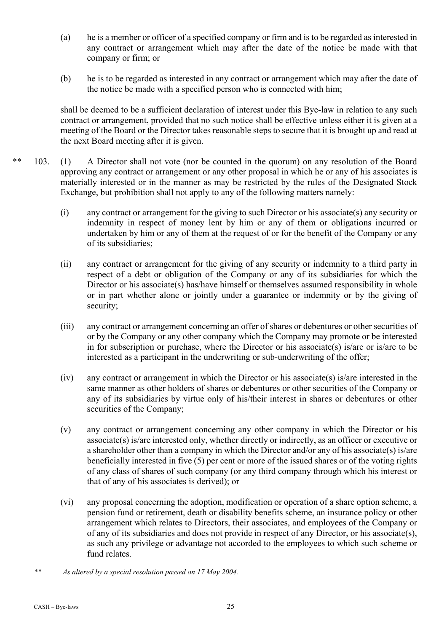- (a) he is a member or officer of a specified company or firm and is to be regarded as interested in any contract or arrangement which may after the date of the notice be made with that company or firm; or
- (b) he is to be regarded as interested in any contract or arrangement which may after the date of the notice be made with a specified person who is connected with him;

shall be deemed to be a sufficient declaration of interest under this Bye-law in relation to any such contract or arrangement, provided that no such notice shall be effective unless either it is given at a meeting of the Board or the Director takes reasonable steps to secure that it is brought up and read at the next Board meeting after it is given.

- \*\* 103. (1) A Director shall not vote (nor be counted in the quorum) on any resolution of the Board approving any contract or arrangement or any other proposal in which he or any of his associates is materially interested or in the manner as may be restricted by the rules of the Designated Stock Exchange, but prohibition shall not apply to any of the following matters namely:
	- (i) any contract or arrangement for the giving to such Director or his associate(s) any security or indemnity in respect of money lent by him or any of them or obligations incurred or undertaken by him or any of them at the request of or for the benefit of the Company or any of its subsidiaries;
	- (ii) any contract or arrangement for the giving of any security or indemnity to a third party in respect of a debt or obligation of the Company or any of its subsidiaries for which the Director or his associate(s) has/have himself or themselves assumed responsibility in whole or in part whether alone or jointly under a guarantee or indemnity or by the giving of security;
	- (iii) any contract or arrangement concerning an offer of shares or debentures or other securities of or by the Company or any other company which the Company may promote or be interested in for subscription or purchase, where the Director or his associate(s) is/are or is/are to be interested as a participant in the underwriting or sub-underwriting of the offer;
	- (iv) any contract or arrangement in which the Director or his associate(s) is/are interested in the same manner as other holders of shares or debentures or other securities of the Company or any of its subsidiaries by virtue only of his/their interest in shares or debentures or other securities of the Company;
	- (v) any contract or arrangement concerning any other company in which the Director or his associate(s) is/are interested only, whether directly or indirectly, as an officer or executive or a shareholder other than a company in which the Director and/or any of his associate(s) is/are beneficially interested in five (5) per cent or more of the issued shares or of the voting rights of any class of shares of such company (or any third company through which his interest or that of any of his associates is derived); or
	- (vi) any proposal concerning the adoption, modification or operation of a share option scheme, a pension fund or retirement, death or disability benefits scheme, an insurance policy or other arrangement which relates to Directors, their associates, and employees of the Company or of any of its subsidiaries and does not provide in respect of any Director, or his associate(s), as such any privilege or advantage not accorded to the employees to which such scheme or fund relates.
	- *\*\* As altered by a special resolution passed on 17 May 2004.*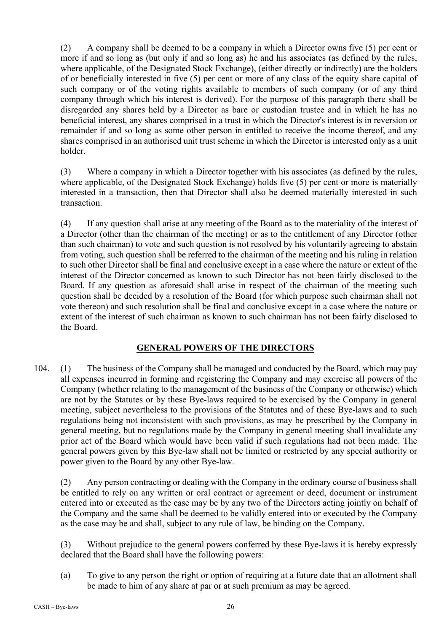(2) A company shall be deemed to be a company in which a Director owns five (5) per cent or more if and so long as (but only if and so long as) he and his associates (as defined by the rules, where applicable, of the Designated Stock Exchange), (either directly or indirectly) are the holders of or beneficially interested in five (5) per cent or more of any class of the equity share capital of such company or of the voting rights available to members of such company (or of any third company through which his interest is derived). For the purpose of this paragraph there shall be disregarded any shares held by a Director as bare or custodian trustee and in which he has no beneficial interest, any shares comprised in a trust in which the Director's interest is in reversion or remainder if and so long as some other person in entitled to receive the income thereof, and any shares comprised in an authorised unit trust scheme in which the Director is interested only as a unit holder.

(3) Where a company in which a Director together with his associates (as defined by the rules, where applicable, of the Designated Stock Exchange) holds five (5) per cent or more is materially interested in a transaction, then that Director shall also be deemed materially interested in such transaction.

(4) If any question shall arise at any meeting of the Board as to the materiality of the interest of a Director (other than the chairman of the meeting) or as to the entitlement of any Director (other than such chairman) to vote and such question is not resolved by his voluntarily agreeing to abstain from voting, such question shall be referred to the chairman of the meeting and his ruling in relation to such other Director shall be final and conclusive except in a case where the nature or extent of the interest of the Director concerned as known to such Director has not been fairly disclosed to the Board. If any question as aforesaid shall arise in respect of the chairman of the meeting such question shall be decided by a resolution of the Board (for which purpose such chairman shall not vote thereon) and such resolution shall be final and conclusive except in a case where the nature or extent of the interest of such chairman as known to such chairman has not been fairly disclosed to the Board.

# **GENERAL POWERS OF THE DIRECTORS**

104. (1) The business of the Company shall be managed and conducted by the Board, which may pay all expenses incurred in forming and registering the Company and may exercise all powers of the Company (whether relating to the management of the business of the Company or otherwise) which are not by the Statutes or by these Bye-laws required to be exercised by the Company in general meeting, subject nevertheless to the provisions of the Statutes and of these Bye-laws and to such regulations being not inconsistent with such provisions, as may be prescribed by the Company in general meeting, but no regulations made by the Company in general meeting shall invalidate any prior act of the Board which would have been valid if such regulations had not been made. The general powers given by this Bye-law shall not be limited or restricted by any special authority or power given to the Board by any other Bye-law.

(2) Any person contracting or dealing with the Company in the ordinary course of business shall be entitled to rely on any written or oral contract or agreement or deed, document or instrument entered into or executed as the case may be by any two of the Directors acting jointly on behalf of the Company and the same shall be deemed to be validly entered into or executed by the Company as the case may be and shall, subject to any rule of law, be binding on the Company.

(3) Without prejudice to the general powers conferred by these Bye-laws it is hereby expressly declared that the Board shall have the following powers:

(a) To give to any person the right or option of requiring at a future date that an allotment shall be made to him of any share at par or at such premium as may be agreed.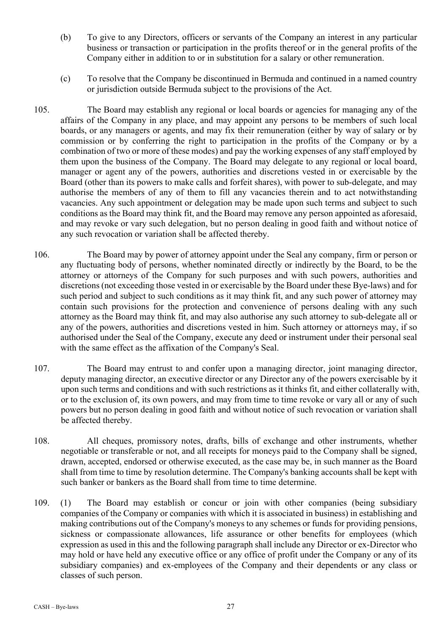- (b) To give to any Directors, officers or servants of the Company an interest in any particular business or transaction or participation in the profits thereof or in the general profits of the Company either in addition to or in substitution for a salary or other remuneration.
- (c) To resolve that the Company be discontinued in Bermuda and continued in a named country or jurisdiction outside Bermuda subject to the provisions of the Act.
- 105. The Board may establish any regional or local boards or agencies for managing any of the affairs of the Company in any place, and may appoint any persons to be members of such local boards, or any managers or agents, and may fix their remuneration (either by way of salary or by commission or by conferring the right to participation in the profits of the Company or by a combination of two or more of these modes) and pay the working expenses of any staff employed by them upon the business of the Company. The Board may delegate to any regional or local board, manager or agent any of the powers, authorities and discretions vested in or exercisable by the Board (other than its powers to make calls and forfeit shares), with power to sub-delegate, and may authorise the members of any of them to fill any vacancies therein and to act notwithstanding vacancies. Any such appointment or delegation may be made upon such terms and subject to such conditions as the Board may think fit, and the Board may remove any person appointed as aforesaid, and may revoke or vary such delegation, but no person dealing in good faith and without notice of any such revocation or variation shall be affected thereby.
- 106. The Board may by power of attorney appoint under the Seal any company, firm or person or any fluctuating body of persons, whether nominated directly or indirectly by the Board, to be the attorney or attorneys of the Company for such purposes and with such powers, authorities and discretions (not exceeding those vested in or exercisable by the Board under these Bye-laws) and for such period and subject to such conditions as it may think fit, and any such power of attorney may contain such provisions for the protection and convenience of persons dealing with any such attorney as the Board may think fit, and may also authorise any such attorney to sub-delegate all or any of the powers, authorities and discretions vested in him. Such attorney or attorneys may, if so authorised under the Seal of the Company, execute any deed or instrument under their personal seal with the same effect as the affixation of the Company's Seal.
- 107. The Board may entrust to and confer upon a managing director, joint managing director, deputy managing director, an executive director or any Director any of the powers exercisable by it upon such terms and conditions and with such restrictions as it thinks fit, and either collaterally with, or to the exclusion of, its own powers, and may from time to time revoke or vary all or any of such powers but no person dealing in good faith and without notice of such revocation or variation shall be affected thereby.
- 108. All cheques, promissory notes, drafts, bills of exchange and other instruments, whether negotiable or transferable or not, and all receipts for moneys paid to the Company shall be signed, drawn, accepted, endorsed or otherwise executed, as the case may be, in such manner as the Board shall from time to time by resolution determine. The Company's banking accounts shall be kept with such banker or bankers as the Board shall from time to time determine.
- 109. (1) The Board may establish or concur or join with other companies (being subsidiary companies of the Company or companies with which it is associated in business) in establishing and making contributions out of the Company's moneys to any schemes or funds for providing pensions, sickness or compassionate allowances, life assurance or other benefits for employees (which expression as used in this and the following paragraph shall include any Director or ex-Director who may hold or have held any executive office or any office of profit under the Company or any of its subsidiary companies) and ex-employees of the Company and their dependents or any class or classes of such person.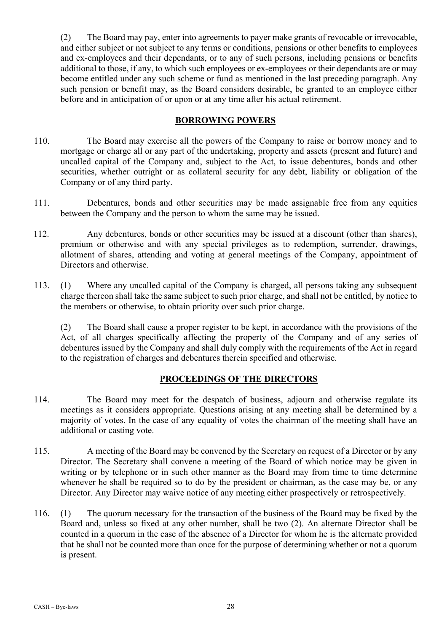(2) The Board may pay, enter into agreements to payer make grants of revocable or irrevocable, and either subject or not subject to any terms or conditions, pensions or other benefits to employees and ex-employees and their dependants, or to any of such persons, including pensions or benefits additional to those, if any, to which such employees or ex-employees or their dependants are or may become entitled under any such scheme or fund as mentioned in the last preceding paragraph. Any such pension or benefit may, as the Board considers desirable, be granted to an employee either before and in anticipation of or upon or at any time after his actual retirement.

# **BORROWING POWERS**

- 110. The Board may exercise all the powers of the Company to raise or borrow money and to mortgage or charge all or any part of the undertaking, property and assets (present and future) and uncalled capital of the Company and, subject to the Act, to issue debentures, bonds and other securities, whether outright or as collateral security for any debt, liability or obligation of the Company or of any third party.
- 111. Debentures, bonds and other securities may be made assignable free from any equities between the Company and the person to whom the same may be issued.
- 112. Any debentures, bonds or other securities may be issued at a discount (other than shares), premium or otherwise and with any special privileges as to redemption, surrender, drawings, allotment of shares, attending and voting at general meetings of the Company, appointment of Directors and otherwise.
- 113. (1) Where any uncalled capital of the Company is charged, all persons taking any subsequent charge thereon shall take the same subject to such prior charge, and shall not be entitled, by notice to the members or otherwise, to obtain priority over such prior charge.

(2) The Board shall cause a proper register to be kept, in accordance with the provisions of the Act, of all charges specifically affecting the property of the Company and of any series of debentures issued by the Company and shall duly comply with the requirements of the Act in regard to the registration of charges and debentures therein specified and otherwise.

# **PROCEEDINGS OF THE DIRECTORS**

- 114. The Board may meet for the despatch of business, adjourn and otherwise regulate its meetings as it considers appropriate. Questions arising at any meeting shall be determined by a majority of votes. In the case of any equality of votes the chairman of the meeting shall have an additional or casting vote.
- 115. A meeting of the Board may be convened by the Secretary on request of a Director or by any Director. The Secretary shall convene a meeting of the Board of which notice may be given in writing or by telephone or in such other manner as the Board may from time to time determine whenever he shall be required so to do by the president or chairman, as the case may be, or any Director. Any Director may waive notice of any meeting either prospectively or retrospectively.
- 116. (1) The quorum necessary for the transaction of the business of the Board may be fixed by the Board and, unless so fixed at any other number, shall be two (2). An alternate Director shall be counted in a quorum in the case of the absence of a Director for whom he is the alternate provided that he shall not be counted more than once for the purpose of determining whether or not a quorum is present.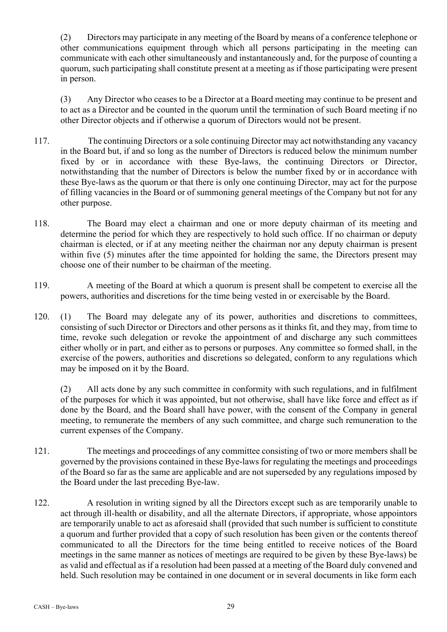(2) Directors may participate in any meeting of the Board by means of a conference telephone or other communications equipment through which all persons participating in the meeting can communicate with each other simultaneously and instantaneously and, for the purpose of counting a quorum, such participating shall constitute present at a meeting as if those participating were present in person.

(3) Any Director who ceases to be a Director at a Board meeting may continue to be present and to act as a Director and be counted in the quorum until the termination of such Board meeting if no other Director objects and if otherwise a quorum of Directors would not be present.

- 117. The continuing Directors or a sole continuing Director may act notwithstanding any vacancy in the Board but, if and so long as the number of Directors is reduced below the minimum number fixed by or in accordance with these Bye-laws, the continuing Directors or Director, notwithstanding that the number of Directors is below the number fixed by or in accordance with these Bye-laws as the quorum or that there is only one continuing Director, may act for the purpose of filling vacancies in the Board or of summoning general meetings of the Company but not for any other purpose.
- 118. The Board may elect a chairman and one or more deputy chairman of its meeting and determine the period for which they are respectively to hold such office. If no chairman or deputy chairman is elected, or if at any meeting neither the chairman nor any deputy chairman is present within five (5) minutes after the time appointed for holding the same, the Directors present may choose one of their number to be chairman of the meeting.
- 119. A meeting of the Board at which a quorum is present shall be competent to exercise all the powers, authorities and discretions for the time being vested in or exercisable by the Board.
- 120. (1) The Board may delegate any of its power, authorities and discretions to committees, consisting of such Director or Directors and other persons as it thinks fit, and they may, from time to time, revoke such delegation or revoke the appointment of and discharge any such committees either wholly or in part, and either as to persons or purposes. Any committee so formed shall, in the exercise of the powers, authorities and discretions so delegated, conform to any regulations which may be imposed on it by the Board.

(2) All acts done by any such committee in conformity with such regulations, and in fulfilment of the purposes for which it was appointed, but not otherwise, shall have like force and effect as if done by the Board, and the Board shall have power, with the consent of the Company in general meeting, to remunerate the members of any such committee, and charge such remuneration to the current expenses of the Company.

- 121. The meetings and proceedings of any committee consisting of two or more members shall be governed by the provisions contained in these Bye-laws for regulating the meetings and proceedings of the Board so far as the same are applicable and are not superseded by any regulations imposed by the Board under the last preceding Bye-law.
- 122. A resolution in writing signed by all the Directors except such as are temporarily unable to act through ill-health or disability, and all the alternate Directors, if appropriate, whose appointors are temporarily unable to act as aforesaid shall (provided that such number is sufficient to constitute a quorum and further provided that a copy of such resolution has been given or the contents thereof communicated to all the Directors for the time being entitled to receive notices of the Board meetings in the same manner as notices of meetings are required to be given by these Bye-laws) be as valid and effectual as if a resolution had been passed at a meeting of the Board duly convened and held. Such resolution may be contained in one document or in several documents in like form each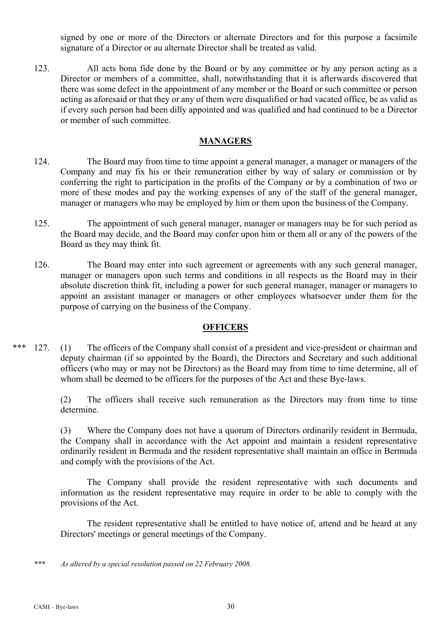signed by one or more of the Directors or alternate Directors and for this purpose a facsimile signature of a Director or au alternate Director shall be treated as valid.

123. All acts bona fide done by the Board or by any committee or by any person acting as a Director or members of a committee, shall, notwithstanding that it is afterwards discovered that there was some defect in the appointment of any member or the Board or such committee or person acting as aforesaid or that they or any of them were disqualified or had vacated office, be as valid as if every such person had been dilly appointed and was qualified and had continued to be a Director or member of such committee.

## **MANAGERS**

- 124. The Board may from time to time appoint a general manager, a manager or managers of the Company and may fix his or their remuneration either by way of salary or commission or by conferring the right to participation in the profits of the Company or by a combination of two or more of these modes and pay the working expenses of any of the staff of the general manager, manager or managers who may be employed by him or them upon the business of the Company.
- 125. The appointment of such general manager, manager or managers may be for such period as the Board may decide, and the Board may confer upon him or them all or any of the powers of the Board as they may think fit.
- 126. The Board may enter into such agreement or agreements with any such general manager, manager or managers upon such terms and conditions in all respects as the Board may in their absolute discretion think fit, including a power for such general manager, manager or managers to appoint an assistant manager or managers or other employees whatsoever under them for the purpose of carrying on the business of the Company.

### **OFFICERS**

\*\*\* 127. (1) The officers of the Company shall consist of a president and vice-president or chairman and deputy chairman (if so appointed by the Board), the Directors and Secretary and such additional officers (who may or may not be Directors) as the Board may from time to time determine, all of whom shall be deemed to be officers for the purposes of the Act and these Bye-laws.

> (2) The officers shall receive such remuneration as the Directors may from time to time determine.

> (3) Where the Company does not have a quorum of Directors ordinarily resident in Bermuda, the Company shall in accordance with the Act appoint and maintain a resident representative ordinarily resident in Bermuda and the resident representative shall maintain an office in Bermuda and comply with the provisions of the Act.

> The Company shall provide the resident representative with such documents and information as the resident representative may require in order to be able to comply with the provisions of the Act.

> The resident representative shall be entitled to have notice of, attend and be heard at any Directors' meetings or general meetings of the Company.

*\*\*\* As altered by a special resolution passed on 22 February 2008.*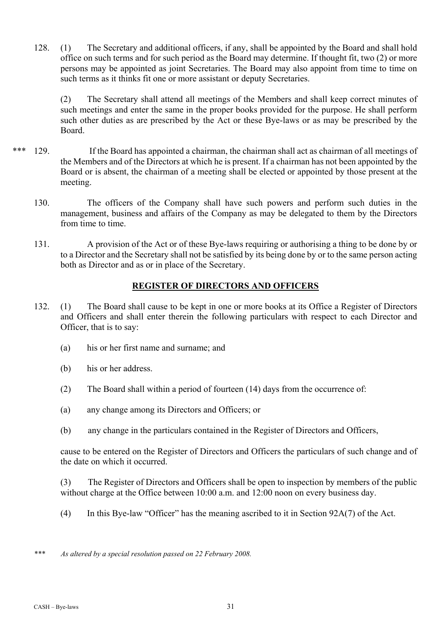128. (1) The Secretary and additional officers, if any, shall be appointed by the Board and shall hold office on such terms and for such period as the Board may determine. If thought fit, two (2) or more persons may be appointed as joint Secretaries. The Board may also appoint from time to time on such terms as it thinks fit one or more assistant or deputy Secretaries.

(2) The Secretary shall attend all meetings of the Members and shall keep correct minutes of such meetings and enter the same in the proper books provided for the purpose. He shall perform such other duties as are prescribed by the Act or these Bye-laws or as may be prescribed by the Board.

- \*\*\* 129. If the Board has appointed a chairman, the chairman shall act as chairman of all meetings of the Members and of the Directors at which he is present. If a chairman has not been appointed by the Board or is absent, the chairman of a meeting shall be elected or appointed by those present at the meeting.
	- 130. The officers of the Company shall have such powers and perform such duties in the management, business and affairs of the Company as may be delegated to them by the Directors from time to time.
	- 131. A provision of the Act or of these Bye-laws requiring or authorising a thing to be done by or to a Director and the Secretary shall not be satisfied by its being done by or to the same person acting both as Director and as or in place of the Secretary.

# **REGISTER OF DIRECTORS AND OFFICERS**

- 132. (1) The Board shall cause to be kept in one or more books at its Office a Register of Directors and Officers and shall enter therein the following particulars with respect to each Director and Officer, that is to say:
	- (a) his or her first name and surname; and
	- (b) his or her address.
	- (2) The Board shall within a period of fourteen (14) days from the occurrence of:
	- (a) any change among its Directors and Officers; or
	- (b) any change in the particulars contained in the Register of Directors and Officers,

cause to be entered on the Register of Directors and Officers the particulars of such change and of the date on which it occurred.

(3) The Register of Directors and Officers shall be open to inspection by members of the public without charge at the Office between 10:00 a.m. and 12:00 noon on every business day.

- (4) In this Bye-law "Officer" has the meaning ascribed to it in Section 92A(7) of the Act.
- *\*\*\* As altered by a special resolution passed on 22 February 2008.*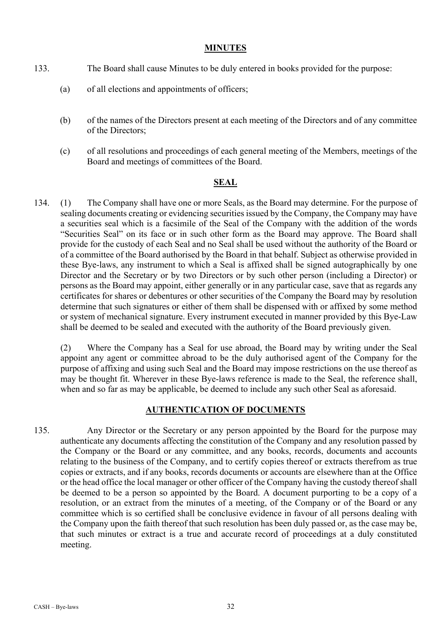### **MINUTES**

- 133. The Board shall cause Minutes to be duly entered in books provided for the purpose:
	- (a) of all elections and appointments of officers;
	- (b) of the names of the Directors present at each meeting of the Directors and of any committee of the Directors;
	- (c) of all resolutions and proceedings of each general meeting of the Members, meetings of the Board and meetings of committees of the Board.

### **SEAL**

134. (1) The Company shall have one or more Seals, as the Board may determine. For the purpose of sealing documents creating or evidencing securities issued by the Company, the Company may have a securities seal which is a facsimile of the Seal of the Company with the addition of the words "Securities Seal" on its face or in such other form as the Board may approve. The Board shall provide for the custody of each Seal and no Seal shall be used without the authority of the Board or of a committee of the Board authorised by the Board in that behalf. Subject as otherwise provided in these Bye-laws, any instrument to which a Seal is affixed shall be signed autographically by one Director and the Secretary or by two Directors or by such other person (including a Director) or persons as the Board may appoint, either generally or in any particular case, save that as regards any certificates for shares or debentures or other securities of the Company the Board may by resolution determine that such signatures or either of them shall be dispensed with or affixed by some method or system of mechanical signature. Every instrument executed in manner provided by this Bye-Law shall be deemed to be sealed and executed with the authority of the Board previously given.

(2) Where the Company has a Seal for use abroad, the Board may by writing under the Seal appoint any agent or committee abroad to be the duly authorised agent of the Company for the purpose of affixing and using such Seal and the Board may impose restrictions on the use thereof as may be thought fit. Wherever in these Bye-laws reference is made to the Seal, the reference shall, when and so far as may be applicable, be deemed to include any such other Seal as aforesaid.

# **AUTHENTICATION OF DOCUMENTS**

135. Any Director or the Secretary or any person appointed by the Board for the purpose may authenticate any documents affecting the constitution of the Company and any resolution passed by the Company or the Board or any committee, and any books, records, documents and accounts relating to the business of the Company, and to certify copies thereof or extracts therefrom as true copies or extracts, and if any books, records documents or accounts are elsewhere than at the Office or the head office the local manager or other officer of the Company having the custody thereof shall be deemed to be a person so appointed by the Board. A document purporting to be a copy of a resolution, or an extract from the minutes of a meeting, of the Company or of the Board or any committee which is so certified shall be conclusive evidence in favour of all persons dealing with the Company upon the faith thereof that such resolution has been duly passed or, as the case may be, that such minutes or extract is a true and accurate record of proceedings at a duly constituted meeting.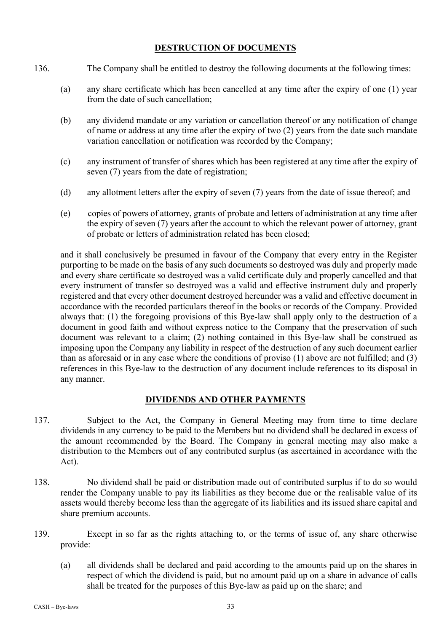# **DESTRUCTION OF DOCUMENTS**

- 136. The Company shall be entitled to destroy the following documents at the following times:
	- (a) any share certificate which has been cancelled at any time after the expiry of one (1) year from the date of such cancellation;
	- (b) any dividend mandate or any variation or cancellation thereof or any notification of change of name or address at any time after the expiry of two (2) years from the date such mandate variation cancellation or notification was recorded by the Company;
	- (c) any instrument of transfer of shares which has been registered at any time after the expiry of seven (7) years from the date of registration;
	- (d) any allotment letters after the expiry of seven (7) years from the date of issue thereof; and
	- (e) copies of powers of attorney, grants of probate and letters of administration at any time after the expiry of seven (7) years after the account to which the relevant power of attorney, grant of probate or letters of administration related has been closed;

and it shall conclusively be presumed in favour of the Company that every entry in the Register purporting to be made on the basis of any such documents so destroyed was duly and properly made and every share certificate so destroyed was a valid certificate duly and properly cancelled and that every instrument of transfer so destroyed was a valid and effective instrument duly and properly registered and that every other document destroyed hereunder was a valid and effective document in accordance with the recorded particulars thereof in the books or records of the Company. Provided always that: (1) the foregoing provisions of this Bye-law shall apply only to the destruction of a document in good faith and without express notice to the Company that the preservation of such document was relevant to a claim; (2) nothing contained in this Bye-law shall be construed as imposing upon the Company any liability in respect of the destruction of any such document earlier than as aforesaid or in any case where the conditions of proviso (1) above are not fulfilled; and (3) references in this Bye-law to the destruction of any document include references to its disposal in any manner.

# **DIVIDENDS AND OTHER PAYMENTS**

- 137. Subject to the Act, the Company in General Meeting may from time to time declare dividends in any currency to be paid to the Members but no dividend shall be declared in excess of the amount recommended by the Board. The Company in general meeting may also make a distribution to the Members out of any contributed surplus (as ascertained in accordance with the Act).
- 138. No dividend shall be paid or distribution made out of contributed surplus if to do so would render the Company unable to pay its liabilities as they become due or the realisable value of its assets would thereby become less than the aggregate of its liabilities and its issued share capital and share premium accounts.
- 139. Except in so far as the rights attaching to, or the terms of issue of, any share otherwise provide:
	- (a) all dividends shall be declared and paid according to the amounts paid up on the shares in respect of which the dividend is paid, but no amount paid up on a share in advance of calls shall be treated for the purposes of this Bye-law as paid up on the share; and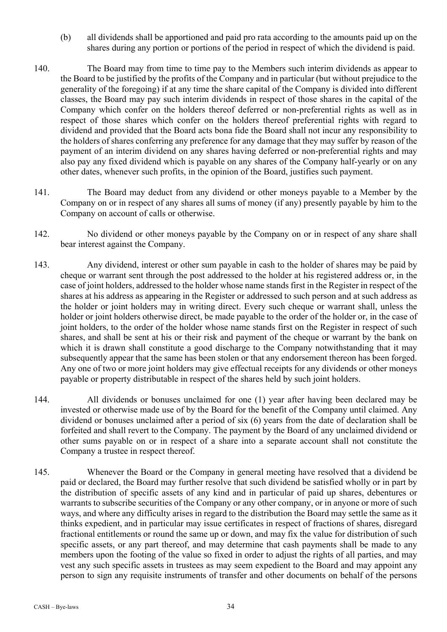- (b) all dividends shall be apportioned and paid pro rata according to the amounts paid up on the shares during any portion or portions of the period in respect of which the dividend is paid.
- 140. The Board may from time to time pay to the Members such interim dividends as appear to the Board to be justified by the profits of the Company and in particular (but without prejudice to the generality of the foregoing) if at any time the share capital of the Company is divided into different classes, the Board may pay such interim dividends in respect of those shares in the capital of the Company which confer on the holders thereof deferred or non-preferential rights as well as in respect of those shares which confer on the holders thereof preferential rights with regard to dividend and provided that the Board acts bona fide the Board shall not incur any responsibility to the holders of shares conferring any preference for any damage that they may suffer by reason of the payment of an interim dividend on any shares having deferred or non-preferential rights and may also pay any fixed dividend which is payable on any shares of the Company half-yearly or on any other dates, whenever such profits, in the opinion of the Board, justifies such payment.
- 141. The Board may deduct from any dividend or other moneys payable to a Member by the Company on or in respect of any shares all sums of money (if any) presently payable by him to the Company on account of calls or otherwise.
- 142. No dividend or other moneys payable by the Company on or in respect of any share shall bear interest against the Company.
- 143. Any dividend, interest or other sum payable in cash to the holder of shares may be paid by cheque or warrant sent through the post addressed to the holder at his registered address or, in the case of joint holders, addressed to the holder whose name stands first in the Register in respect of the shares at his address as appearing in the Register or addressed to such person and at such address as the holder or joint holders may in writing direct. Every such cheque or warrant shall, unless the holder or joint holders otherwise direct, be made payable to the order of the holder or, in the case of joint holders, to the order of the holder whose name stands first on the Register in respect of such shares, and shall be sent at his or their risk and payment of the cheque or warrant by the bank on which it is drawn shall constitute a good discharge to the Company notwithstanding that it may subsequently appear that the same has been stolen or that any endorsement thereon has been forged. Any one of two or more joint holders may give effectual receipts for any dividends or other moneys payable or property distributable in respect of the shares held by such joint holders.
- 144. All dividends or bonuses unclaimed for one (1) year after having been declared may be invested or otherwise made use of by the Board for the benefit of the Company until claimed. Any dividend or bonuses unclaimed after a period of six (6) years from the date of declaration shall be forfeited and shall revert to the Company. The payment by the Board of any unclaimed dividend or other sums payable on or in respect of a share into a separate account shall not constitute the Company a trustee in respect thereof.
- 145. Whenever the Board or the Company in general meeting have resolved that a dividend be paid or declared, the Board may further resolve that such dividend be satisfied wholly or in part by the distribution of specific assets of any kind and in particular of paid up shares, debentures or warrants to subscribe securities of the Company or any other company, or in anyone or more of such ways, and where any difficulty arises in regard to the distribution the Board may settle the same as it thinks expedient, and in particular may issue certificates in respect of fractions of shares, disregard fractional entitlements or round the same up or down, and may fix the value for distribution of such specific assets, or any part thereof, and may determine that cash payments shall be made to any members upon the footing of the value so fixed in order to adjust the rights of all parties, and may vest any such specific assets in trustees as may seem expedient to the Board and may appoint any person to sign any requisite instruments of transfer and other documents on behalf of the persons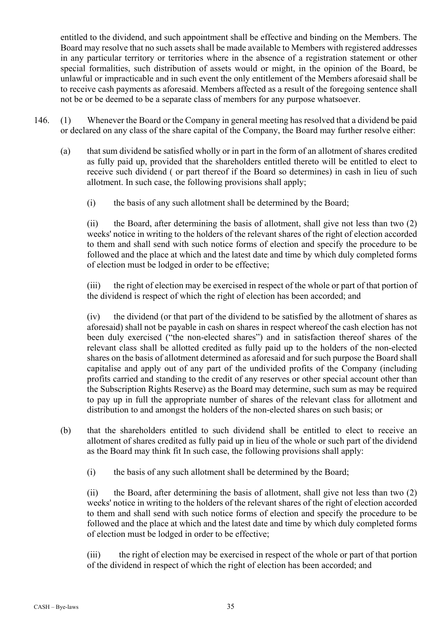entitled to the dividend, and such appointment shall be effective and binding on the Members. The Board may resolve that no such assets shall be made available to Members with registered addresses in any particular territory or territories where in the absence of a registration statement or other special formalities, such distribution of assets would or might, in the opinion of the Board, be unlawful or impracticable and in such event the only entitlement of the Members aforesaid shall be to receive cash payments as aforesaid. Members affected as a result of the foregoing sentence shall not be or be deemed to be a separate class of members for any purpose whatsoever.

- 146. (1) Whenever the Board or the Company in general meeting has resolved that a dividend be paid or declared on any class of the share capital of the Company, the Board may further resolve either:
	- (a) that sum dividend be satisfied wholly or in part in the form of an allotment of shares credited as fully paid up, provided that the shareholders entitled thereto will be entitled to elect to receive such dividend ( or part thereof if the Board so determines) in cash in lieu of such allotment. In such case, the following provisions shall apply;
		- (i) the basis of any such allotment shall be determined by the Board;

(ii) the Board, after determining the basis of allotment, shall give not less than two (2) weeks' notice in writing to the holders of the relevant shares of the right of election accorded to them and shall send with such notice forms of election and specify the procedure to be followed and the place at which and the latest date and time by which duly completed forms of election must be lodged in order to be effective;

(iii) the right of election may be exercised in respect of the whole or part of that portion of the dividend is respect of which the right of election has been accorded; and

(iv) the dividend (or that part of the dividend to be satisfied by the allotment of shares as aforesaid) shall not be payable in cash on shares in respect whereof the cash election has not been duly exercised ("the non-elected shares") and in satisfaction thereof shares of the relevant class shall be allotted credited as fully paid up to the holders of the non-elected shares on the basis of allotment determined as aforesaid and for such purpose the Board shall capitalise and apply out of any part of the undivided profits of the Company (including profits carried and standing to the credit of any reserves or other special account other than the Subscription Rights Reserve) as the Board may determine, such sum as may be required to pay up in full the appropriate number of shares of the relevant class for allotment and distribution to and amongst the holders of the non-elected shares on such basis; or

- (b) that the shareholders entitled to such dividend shall be entitled to elect to receive an allotment of shares credited as fully paid up in lieu of the whole or such part of the dividend as the Board may think fit In such case, the following provisions shall apply:
	- (i) the basis of any such allotment shall be determined by the Board;

(ii) the Board, after determining the basis of allotment, shall give not less than two (2) weeks' notice in writing to the holders of the relevant shares of the right of election accorded to them and shall send with such notice forms of election and specify the procedure to be followed and the place at which and the latest date and time by which duly completed forms of election must be lodged in order to be effective;

(iii) the right of election may be exercised in respect of the whole or part of that portion of the dividend in respect of which the right of election has been accorded; and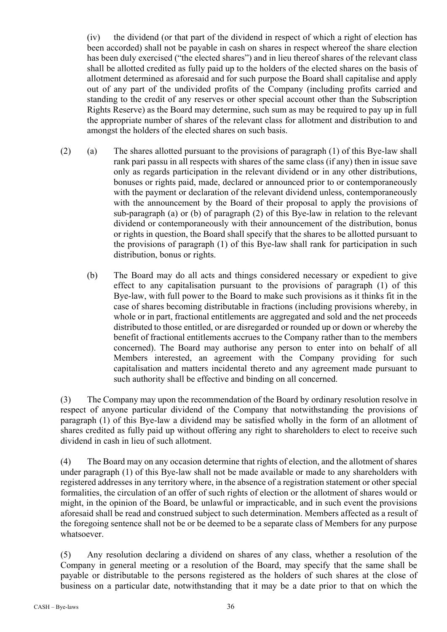(iv) the dividend (or that part of the dividend in respect of which a right of election has been accorded) shall not be payable in cash on shares in respect whereof the share election has been duly exercised ("the elected shares") and in lieu thereof shares of the relevant class shall be allotted credited as fully paid up to the holders of the elected shares on the basis of allotment determined as aforesaid and for such purpose the Board shall capitalise and apply out of any part of the undivided profits of the Company (including profits carried and standing to the credit of any reserves or other special account other than the Subscription Rights Reserve) as the Board may determine, such sum as may be required to pay up in full the appropriate number of shares of the relevant class for allotment and distribution to and amongst the holders of the elected shares on such basis.

- (2) (a) The shares allotted pursuant to the provisions of paragraph (1) of this Bye-law shall rank pari passu in all respects with shares of the same class (if any) then in issue save only as regards participation in the relevant dividend or in any other distributions, bonuses or rights paid, made, declared or announced prior to or contemporaneously with the payment or declaration of the relevant dividend unless, contemporaneously with the announcement by the Board of their proposal to apply the provisions of sub-paragraph (a) or (b) of paragraph (2) of this Bye-law in relation to the relevant dividend or contemporaneously with their announcement of the distribution, bonus or rights in question, the Board shall specify that the shares to be allotted pursuant to the provisions of paragraph (1) of this Bye-law shall rank for participation in such distribution, bonus or rights.
	- (b) The Board may do all acts and things considered necessary or expedient to give effect to any capitalisation pursuant to the provisions of paragraph (1) of this Bye-law, with full power to the Board to make such provisions as it thinks fit in the case of shares becoming distributable in fractions (including provisions whereby, in whole or in part, fractional entitlements are aggregated and sold and the net proceeds distributed to those entitled, or are disregarded or rounded up or down or whereby the benefit of fractional entitlements accrues to the Company rather than to the members concerned). The Board may authorise any person to enter into on behalf of all Members interested, an agreement with the Company providing for such capitalisation and matters incidental thereto and any agreement made pursuant to such authority shall be effective and binding on all concerned.

(3) The Company may upon the recommendation of the Board by ordinary resolution resolve in respect of anyone particular dividend of the Company that notwithstanding the provisions of paragraph (1) of this Bye-law a dividend may be satisfied wholly in the form of an allotment of shares credited as fully paid up without offering any right to shareholders to elect to receive such dividend in cash in lieu of such allotment.

(4) The Board may on any occasion determine that rights of election, and the allotment of shares under paragraph (1) of this Bye-law shall not be made available or made to any shareholders with registered addresses in any territory where, in the absence of a registration statement or other special formalities, the circulation of an offer of such rights of election or the allotment of shares would or might, in the opinion of the Board, be unlawful or impracticable, and in such event the provisions aforesaid shall be read and construed subject to such determination. Members affected as a result of the foregoing sentence shall not be or be deemed to be a separate class of Members for any purpose whatsoever.

(5) Any resolution declaring a dividend on shares of any class, whether a resolution of the Company in general meeting or a resolution of the Board, may specify that the same shall be payable or distributable to the persons registered as the holders of such shares at the close of business on a particular date, notwithstanding that it may be a date prior to that on which the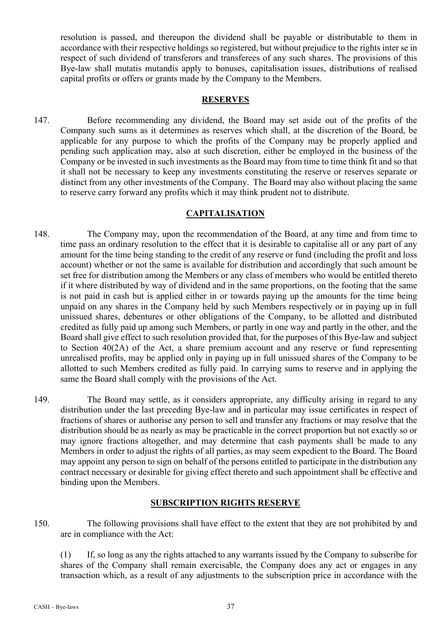resolution is passed, and thereupon the dividend shall be payable or distributable to them in accordance with their respective holdings so registered, but without prejudice to the rights inter se in respect of such dividend of transferors and transferees of any such shares. The provisions of this Bye-law shall mutatis mutandis apply to bonuses, capitalisation issues, distributions of realised capital profits or offers or grants made by the Company to the Members.

#### **RESERVES**

147. Before recommending any dividend, the Board may set aside out of the profits of the Company such sums as it determines as reserves which shall, at the discretion of the Board, be applicable for any purpose to which the profits of the Company may be properly applied and pending such application may, also at such discretion, either be employed in the business of the Company or be invested in such investments as the Board may from time to time think fit and so that it shall not be necessary to keep any investments constituting the reserve or reserves separate or distinct from any other investments of the Company. The Board may also without placing the same to reserve carry forward any profits which it may think prudent not to distribute.

### **CAPITALISATION**

- 148. The Company may, upon the recommendation of the Board, at any time and from time to time pass an ordinary resolution to the effect that it is desirable to capitalise all or any part of any amount for the time being standing to the credit of any reserve or fund (including the profit and loss account) whether or not the same is available for distribution and accordingly that such amount be set free for distribution among the Members or any class of members who would be entitled thereto if it where distributed by way of dividend and in the same proportions, on the footing that the same is not paid in cash but is applied either in or towards paying up the amounts for the time being unpaid on any shares in the Company held by such Members respectively or in paying up in full unissued shares, debentures or other obligations of the Company, to be allotted and distributed credited as fully paid up among such Members, or partly in one way and partly in the other, and the Board shall give effect to such resolution provided that, for the purposes of this Bye-law and subject to Section 40(2A) of the Act, a share premium account and any reserve or fund representing unrealised profits, may be applied only in paying up in full unissued shares of the Company to be allotted to such Members credited as fully paid. In carrying sums to reserve and in applying the same the Board shall comply with the provisions of the Act.
- 149. The Board may settle, as it considers appropriate, any difficulty arising in regard to any distribution under the last preceding Bye-law and in particular may issue certificates in respect of fractions of shares or authorise any person to sell and transfer any fractions or may resolve that the distribution should be as nearly as may be practicable in the correct proportion but not exactly so or may ignore fractions altogether, and may determine that cash payments shall be made to any Members in order to adjust the rights of all parties, as may seem expedient to the Board. The Board may appoint any person to sign on behalf of the persons entitled to participate in the distribution any contract necessary or desirable for giving effect thereto and such appointment shall be effective and binding upon the Members.

### **SUBSCRIPTION RIGHTS RESERVE**

150. The following provisions shall have effect to the extent that they are not prohibited by and are in compliance with the Act:

(1) If, so long as any the rights attached to any warrants issued by the Company to subscribe for shares of the Company shall remain exercisable, the Company does any act or engages in any transaction which, as a result of any adjustments to the subscription price in accordance with the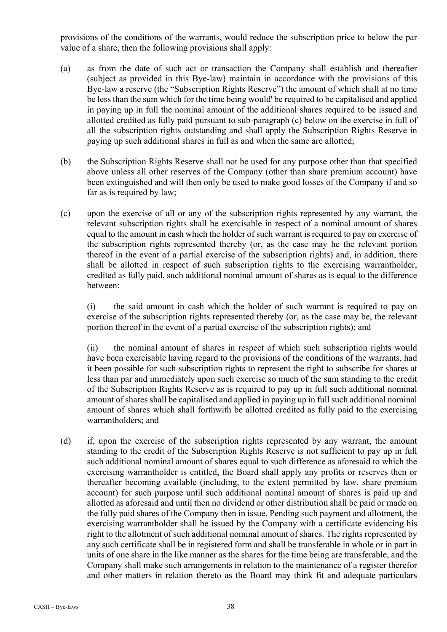provisions of the conditions of the warrants, would reduce the subscription price to below the par value of a share, then the following provisions shall apply:

- (a) as from the date of such act or transaction the Company shall establish and thereafter (subject as provided in this Bye-law) maintain in accordance with the provisions of this Bye-law a reserve (the "Subscription Rights Reserve") the amount of which shall at no time be less than the sum which for the time being would' be required to be capitalised and applied in paying up in full the nominal amount of the additional shares required to be issued and allotted credited as fully paid pursuant to sub-paragraph (c) below on the exercise in full of all the subscription rights outstanding and shall apply the Subscription Rights Reserve in paying up such additional shares in full as and when the same are allotted;
- (b) the Subscription Rights Reserve shall not be used for any purpose other than that specified above unless all other reserves of the Company (other than share premium account) have been extinguished and will then only be used to make good losses of the Company if and so far as is required by law;
- (c) upon the exercise of all or any of the subscription rights represented by any warrant, the relevant subscription rights shall be exercisable in respect of a nominal amount of shares equal to the amount in cash which the holder of such warrant is required to pay on exercise of the subscription rights represented thereby (or, as the case may he the relevant portion thereof in the event of a partial exercise of the subscription rights) and, in addition, there shall be allotted in respect of such subscription rights to the exercising warrantholder, credited as fully paid, such additional nominal amount of shares as is equal to the difference between:

(i) the said amount in cash which the holder of such warrant is required to pay on exercise of the subscription rights represented thereby (or, as the case may be, the relevant portion thereof in the event of a partial exercise of the subscription rights); and

(ii) the nominal amount of shares in respect of which such subscription rights would have been exercisable having regard to the provisions of the conditions of the warrants, had it been possible for such subscription rights to represent the right to subscribe for shares at less than par and immediately upon such exercise so much of the sum standing to the credit of the Subscription Rights Reserve as is required to pay up in full such additional nominal amount of shares shall be capitalised and applied in paying up in full such additional nominal amount of shares which shall forthwith be allotted credited as fully paid to the exercising warrantholders; and

(d) if, upon the exercise of the subscription rights represented by any warrant, the amount standing to the credit of the Subscription Rights Reserve is not sufficient to pay up in full such additional nominal amount of shares equal to such difference as aforesaid to which the exercising warrantholder is entitled, the Board shall apply any profits or reserves then or thereafter becoming available (including, to the extent permitted by law, share premium account) for such purpose until such additional nominal amount of shares is paid up and allotted as aforesaid and until then no dividend or other distribution shall be paid or made on the fully paid shares of the Company then in issue. Pending such payment and allotment, the exercising warrantholder shall be issued by the Company with a certificate evidencing his right to the allotment of such additional nominal amount of shares. The rights represented by any such certificate shall be in registered form and shall be transferable in whole or in part in units of one share in the like manner as the shares for the time being are transferable, and the Company shall make such arrangements in relation to the maintenance of a register therefor and other matters in relation thereto as the Board may think fit and adequate particulars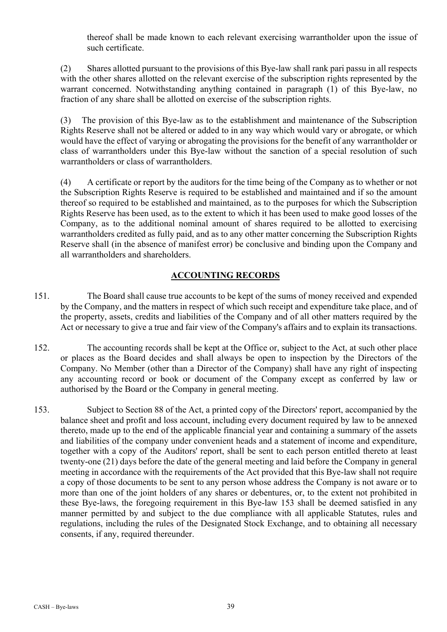thereof shall be made known to each relevant exercising warrantholder upon the issue of such certificate.

(2) Shares allotted pursuant to the provisions of this Bye-law shall rank pari passu in all respects with the other shares allotted on the relevant exercise of the subscription rights represented by the warrant concerned. Notwithstanding anything contained in paragraph (1) of this Bye-law, no fraction of any share shall be allotted on exercise of the subscription rights.

(3) The provision of this Bye-law as to the establishment and maintenance of the Subscription Rights Reserve shall not be altered or added to in any way which would vary or abrogate, or which would have the effect of varying or abrogating the provisions for the benefit of any warrantholder or class of warrantholders under this Bye-law without the sanction of a special resolution of such warrantholders or class of warrantholders.

(4) A certificate or report by the auditors for the time being of the Company as to whether or not the Subscription Rights Reserve is required to be established and maintained and if so the amount thereof so required to be established and maintained, as to the purposes for which the Subscription Rights Reserve has been used, as to the extent to which it has been used to make good losses of the Company, as to the additional nominal amount of shares required to be allotted to exercising warrantholders credited as fully paid, and as to any other matter concerning the Subscription Rights Reserve shall (in the absence of manifest error) be conclusive and binding upon the Company and all warrantholders and shareholders.

# **ACCOUNTING RECORDS**

- 151. The Board shall cause true accounts to be kept of the sums of money received and expended by the Company, and the matters in respect of which such receipt and expenditure take place, and of the property, assets, credits and liabilities of the Company and of all other matters required by the Act or necessary to give a true and fair view of the Company's affairs and to explain its transactions.
- 152. The accounting records shall be kept at the Office or, subject to the Act, at such other place or places as the Board decides and shall always be open to inspection by the Directors of the Company. No Member (other than a Director of the Company) shall have any right of inspecting any accounting record or book or document of the Company except as conferred by law or authorised by the Board or the Company in general meeting.
- 153. Subject to Section 88 of the Act, a printed copy of the Directors' report, accompanied by the balance sheet and profit and loss account, including every document required by law to be annexed thereto, made up to the end of the applicable financial year and containing a summary of the assets and liabilities of the company under convenient heads and a statement of income and expenditure, together with a copy of the Auditors' report, shall be sent to each person entitled thereto at least twenty-one (21) days before the date of the general meeting and laid before the Company in general meeting in accordance with the requirements of the Act provided that this Bye-law shall not require a copy of those documents to be sent to any person whose address the Company is not aware or to more than one of the joint holders of any shares or debentures, or, to the extent not prohibited in these Bye-laws, the foregoing requirement in this Bye-law 153 shall be deemed satisfied in any manner permitted by and subject to the due compliance with all applicable Statutes, rules and regulations, including the rules of the Designated Stock Exchange, and to obtaining all necessary consents, if any, required thereunder.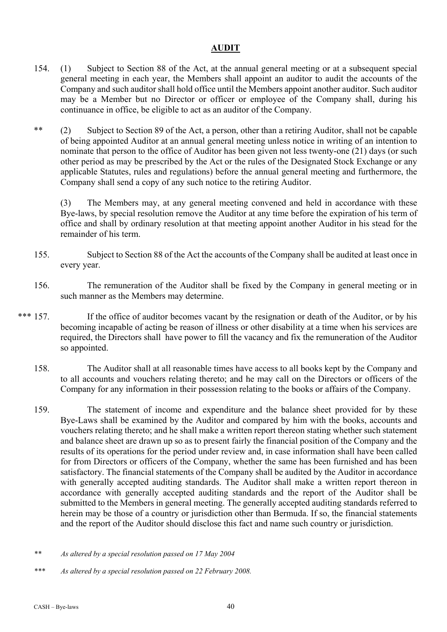## **AUDIT**

- 154. (1) Subject to Section 88 of the Act, at the annual general meeting or at a subsequent special general meeting in each year, the Members shall appoint an auditor to audit the accounts of the Company and such auditor shall hold office until the Members appoint another auditor. Such auditor may be a Member but no Director or officer or employee of the Company shall, during his continuance in office, be eligible to act as an auditor of the Company.
- \*\* (2) Subject to Section 89 of the Act, a person, other than a retiring Auditor, shall not be capable of being appointed Auditor at an annual general meeting unless notice in writing of an intention to nominate that person to the office of Auditor has been given not less twenty-one (21) days (or such other period as may be prescribed by the Act or the rules of the Designated Stock Exchange or any applicable Statutes, rules and regulations) before the annual general meeting and furthermore, the Company shall send a copy of any such notice to the retiring Auditor.

(3) The Members may, at any general meeting convened and held in accordance with these Bye-laws, by special resolution remove the Auditor at any time before the expiration of his term of office and shall by ordinary resolution at that meeting appoint another Auditor in his stead for the remainder of his term.

- 155. Subject to Section 88 of the Act the accounts of the Company shall be audited at least once in every year.
- 156. The remuneration of the Auditor shall be fixed by the Company in general meeting or in such manner as the Members may determine.
- \*\*\* 157. If the office of auditor becomes vacant by the resignation or death of the Auditor, or by his becoming incapable of acting be reason of illness or other disability at a time when his services are required, the Directors shall have power to fill the vacancy and fix the remuneration of the Auditor so appointed.
	- 158. The Auditor shall at all reasonable times have access to all books kept by the Company and to all accounts and vouchers relating thereto; and he may call on the Directors or officers of the Company for any information in their possession relating to the books or affairs of the Company.
	- 159. The statement of income and expenditure and the balance sheet provided for by these Bye-Laws shall be examined by the Auditor and compared by him with the books, accounts and vouchers relating thereto; and he shall make a written report thereon stating whether such statement and balance sheet are drawn up so as to present fairly the financial position of the Company and the results of its operations for the period under review and, in case information shall have been called for from Directors or officers of the Company, whether the same has been furnished and has been satisfactory. The financial statements of the Company shall be audited by the Auditor in accordance with generally accepted auditing standards. The Auditor shall make a written report thereon in accordance with generally accepted auditing standards and the report of the Auditor shall be submitted to the Members in general meeting. The generally accepted auditing standards referred to herein may be those of a country or jurisdiction other than Bermuda. If so, the financial statements and the report of the Auditor should disclose this fact and name such country or jurisdiction.

*<sup>\*\*</sup> As altered by a special resolution passed on 17 May 2004* 

*<sup>\*\*\*</sup> As altered by a special resolution passed on 22 February 2008.*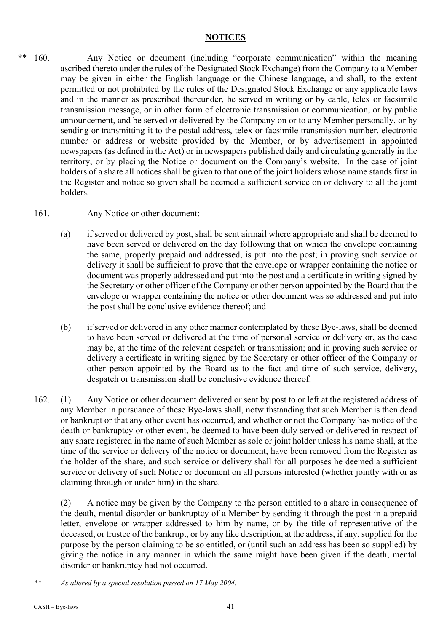### **NOTICES**

- \*\* 160. Any Notice or document (including "corporate communication" within the meaning ascribed thereto under the rules of the Designated Stock Exchange) from the Company to a Member may be given in either the English language or the Chinese language, and shall, to the extent permitted or not prohibited by the rules of the Designated Stock Exchange or any applicable laws and in the manner as prescribed thereunder, be served in writing or by cable, telex or facsimile transmission message, or in other form of electronic transmission or communication, or by public announcement, and be served or delivered by the Company on or to any Member personally, or by sending or transmitting it to the postal address, telex or facsimile transmission number, electronic number or address or website provided by the Member, or by advertisement in appointed newspapers (as defined in the Act) or in newspapers published daily and circulating generally in the territory, or by placing the Notice or document on the Company's website. In the case of joint holders of a share all notices shall be given to that one of the joint holders whose name stands first in the Register and notice so given shall be deemed a sufficient service on or delivery to all the joint holders.
	- 161. Any Notice or other document:
		- (a) if served or delivered by post, shall be sent airmail where appropriate and shall be deemed to have been served or delivered on the day following that on which the envelope containing the same, properly prepaid and addressed, is put into the post; in proving such service or delivery it shall be sufficient to prove that the envelope or wrapper containing the notice or document was properly addressed and put into the post and a certificate in writing signed by the Secretary or other officer of the Company or other person appointed by the Board that the envelope or wrapper containing the notice or other document was so addressed and put into the post shall be conclusive evidence thereof; and
		- (b) if served or delivered in any other manner contemplated by these Bye-laws, shall be deemed to have been served or delivered at the time of personal service or delivery or, as the case may be, at the time of the relevant despatch or transmission; and in proving such service or delivery a certificate in writing signed by the Secretary or other officer of the Company or other person appointed by the Board as to the fact and time of such service, delivery, despatch or transmission shall be conclusive evidence thereof.
	- 162. (1) Any Notice or other document delivered or sent by post to or left at the registered address of any Member in pursuance of these Bye-laws shall, notwithstanding that such Member is then dead or bankrupt or that any other event has occurred, and whether or not the Company has notice of the death or bankruptcy or other event, be deemed to have been duly served or delivered in respect of any share registered in the name of such Member as sole or joint holder unless his name shall, at the time of the service or delivery of the notice or document, have been removed from the Register as the holder of the share, and such service or delivery shall for all purposes he deemed a sufficient service or delivery of such Notice or document on all persons interested (whether jointly with or as claiming through or under him) in the share.

(2) A notice may be given by the Company to the person entitled to a share in consequence of the death, mental disorder or bankruptcy of a Member by sending it through the post in a prepaid letter, envelope or wrapper addressed to him by name, or by the title of representative of the deceased, or trustee of the bankrupt, or by any like description, at the address, if any, supplied for the purpose by the person claiming to be so entitled, or (until such an address has been so supplied) by giving the notice in any manner in which the same might have been given if the death, mental disorder or bankruptcy had not occurred.

*\*\* As altered by a special resolution passed on 17 May 2004.*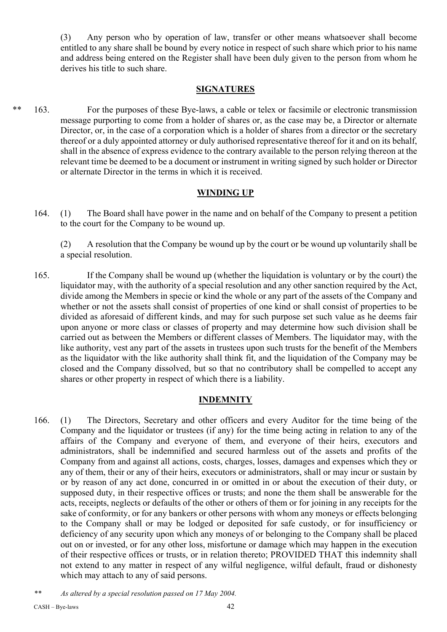(3) Any person who by operation of law, transfer or other means whatsoever shall become entitled to any share shall be bound by every notice in respect of such share which prior to his name and address being entered on the Register shall have been duly given to the person from whom he derives his title to such share.

### **SIGNATURES**

\*\* 163. For the purposes of these Bye-laws, a cable or telex or facsimile or electronic transmission message purporting to come from a holder of shares or, as the case may be, a Director or alternate Director, or, in the case of a corporation which is a holder of shares from a director or the secretary thereof or a duly appointed attorney or duly authorised representative thereof for it and on its behalf, shall in the absence of express evidence to the contrary available to the person relying thereon at the relevant time be deemed to be a document or instrument in writing signed by such holder or Director or alternate Director in the terms in which it is received.

### **WINDING UP**

164. (1) The Board shall have power in the name and on behalf of the Company to present a petition to the court for the Company to be wound up.

(2) A resolution that the Company be wound up by the court or be wound up voluntarily shall be a special resolution.

165. If the Company shall be wound up (whether the liquidation is voluntary or by the court) the liquidator may, with the authority of a special resolution and any other sanction required by the Act, divide among the Members in specie or kind the whole or any part of the assets of the Company and whether or not the assets shall consist of properties of one kind or shall consist of properties to be divided as aforesaid of different kinds, and may for such purpose set such value as he deems fair upon anyone or more class or classes of property and may determine how such division shall be carried out as between the Members or different classes of Members. The liquidator may, with the like authority, vest any part of the assets in trustees upon such trusts for the benefit of the Members as the liquidator with the like authority shall think fit, and the liquidation of the Company may be closed and the Company dissolved, but so that no contributory shall be compelled to accept any shares or other property in respect of which there is a liability.

### **INDEMNITY**

- 166. (1) The Directors, Secretary and other officers and every Auditor for the time being of the Company and the liquidator or trustees (if any) for the time being acting in relation to any of the affairs of the Company and everyone of them, and everyone of their heirs, executors and administrators, shall be indemnified and secured harmless out of the assets and profits of the Company from and against all actions, costs, charges, losses, damages and expenses which they or any of them, their or any of their heirs, executors or administrators, shall or may incur or sustain by or by reason of any act done, concurred in or omitted in or about the execution of their duty, or supposed duty, in their respective offices or trusts; and none the them shall be answerable for the acts, receipts, neglects or defaults of the other or others of them or for joining in any receipts for the sake of conformity, or for any bankers or other persons with whom any moneys or effects belonging to the Company shall or may be lodged or deposited for safe custody, or for insufficiency or deficiency of any security upon which any moneys of or belonging to the Company shall be placed out on or invested, or for any other loss, misfortune or damage which may happen in the execution of their respective offices or trusts, or in relation thereto; PROVIDED THAT this indemnity shall not extend to any matter in respect of any wilful negligence, wilful default, fraud or dishonesty which may attach to any of said persons.
- *\*\* As altered by a special resolution passed on 17 May 2004.*